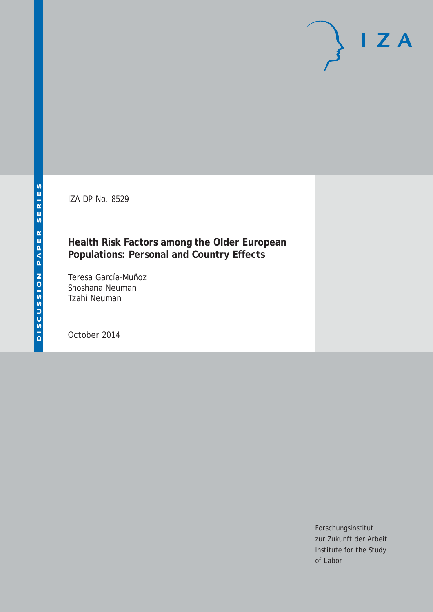IZA DP No. 8529

## **Health Risk Factors among the Older European Populations: Personal and Country Effects**

Teresa García-Muñoz Shoshana Neuman Tzahi Neuman

October 2014

Forschungsinstitut zur Zukunft der Arbeit Institute for the Study of Labor

 $I Z A$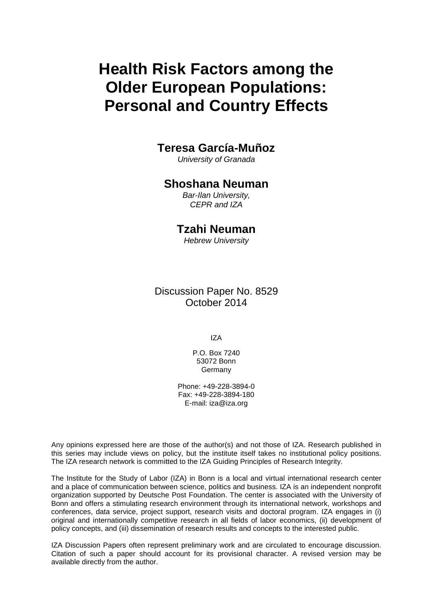# **Health Risk Factors among the Older European Populations: Personal and Country Effects**

## **Teresa García-Muñoz**

*University of Granada*

### **Shoshana Neuman**

*Bar-Ilan University, CEPR and IZA*

## **Tzahi Neuman**

*Hebrew University*

Discussion Paper No. 8529 October 2014

IZA

P.O. Box 7240 53072 Bonn **Germany** 

Phone: +49-228-3894-0 Fax: +49-228-3894-180 E-mail: [iza@iza.org](mailto:iza@iza.org)

Any opinions expressed here are those of the author(s) and not those of IZA. Research published in this series may include views on policy, but the institute itself takes no institutional policy positions. The IZA research network is committed to the IZA Guiding Principles of Research Integrity.

The Institute for the Study of Labor (IZA) in Bonn is a local and virtual international research center and a place of communication between science, politics and business. IZA is an independent nonprofit organization supported by Deutsche Post Foundation. The center is associated with the University of Bonn and offers a stimulating research environment through its international network, workshops and conferences, data service, project support, research visits and doctoral program. IZA engages in (i) original and internationally competitive research in all fields of labor economics, (ii) development of policy concepts, and (iii) dissemination of research results and concepts to the interested public.

IZA Discussion Papers often represent preliminary work and are circulated to encourage discussion. Citation of such a paper should account for its provisional character. A revised version may be available directly from the author.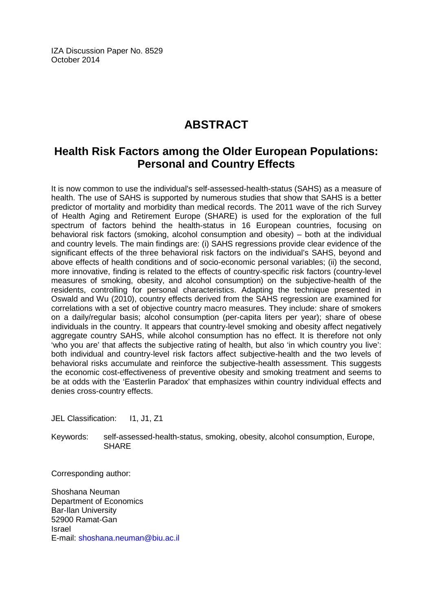IZA Discussion Paper No. 8529 October 2014

## **ABSTRACT**

## **Health Risk Factors among the Older European Populations: Personal and Country Effects**

It is now common to use the individual's self-assessed-health-status (SAHS) as a measure of health. The use of SAHS is supported by numerous studies that show that SAHS is a better predictor of mortality and morbidity than medical records. The 2011 wave of the rich Survey of Health Aging and Retirement Europe (SHARE) is used for the exploration of the full spectrum of factors behind the health-status in 16 European countries, focusing on behavioral risk factors (smoking, alcohol consumption and obesity) – both at the individual and country levels. The main findings are: (i) SAHS regressions provide clear evidence of the significant effects of the three behavioral risk factors on the individual's SAHS, beyond and above effects of health conditions and of socio-economic personal variables; (ii) the second, more innovative, finding is related to the effects of country-specific risk factors (country-level measures of smoking, obesity, and alcohol consumption) on the subjective-health of the residents, controlling for personal characteristics. Adapting the technique presented in Oswald and Wu (2010), country effects derived from the SAHS regression are examined for correlations with a set of objective country macro measures. They include: share of smokers on a daily/regular basis; alcohol consumption (per-capita liters per year); share of obese individuals in the country. It appears that country-level smoking and obesity affect negatively aggregate country SAHS, while alcohol consumption has no effect. It is therefore not only 'who you are' that affects the subjective rating of health, but also 'in which country you live': both individual and country-level risk factors affect subjective-health and the two levels of behavioral risks accumulate and reinforce the subjective-health assessment. This suggests the economic cost-effectiveness of preventive obesity and smoking treatment and seems to be at odds with the 'Easterlin Paradox' that emphasizes within country individual effects and denies cross-country effects.

JEL Classification: I1, J1, Z1

Keywords: self-assessed-health-status, smoking, obesity, alcohol consumption, Europe, **SHARE** 

Corresponding author:

Shoshana Neuman Department of Economics Bar-Ilan University 52900 Ramat-Gan Israel E-mail: [shoshana.neuman@biu.ac.il](mailto:shoshana.neuman@biu.ac.il)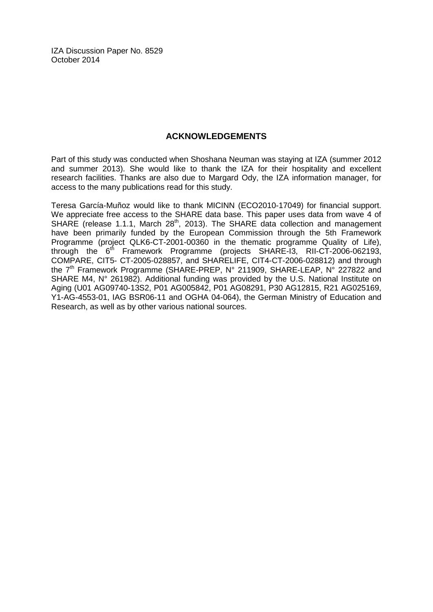IZA Discussion Paper No. 8529 October 2014

#### **ACKNOWLEDGEMENTS**

Part of this study was conducted when Shoshana Neuman was staying at IZA (summer 2012 and summer 2013). She would like to thank the IZA for their hospitality and excellent research facilities. Thanks are also due to Margard Ody, the IZA information manager, for access to the many publications read for this study.

Teresa García-Muñoz would like to thank MICINN (ECO2010-17049) for financial support. We appreciate free access to the SHARE data base. This paper uses data from wave 4 of SHARE (release 1.1.1, March 28<sup>th</sup>, 2013). The SHARE data collection and management have been primarily funded by the European Commission through the 5th Framework Programme (project QLK6-CT-2001-00360 in the thematic programme Quality of Life), through the  $6<sup>th</sup>$  Framework Programme (projects SHARE-13, RII-CT-2006-062193, COMPARE, CIT5- CT-2005-028857, and SHARELIFE, CIT4-CT-2006-028812) and through the 7<sup>th</sup> Framework Programme (SHARE-PREP, N° 211909, SHARE-LEAP, N° 227822 and SHARE M4,  $N^{\circ}$  261982). Additional funding was provided by the U.S. National Institute on Aging (U01 AG09740-13S2, P01 AG005842, P01 AG08291, P30 AG12815, R21 AG025169, Y1-AG-4553-01, IAG BSR06-11 and OGHA 04-064), the German Ministry of Education and Research, as well as by other various national sources.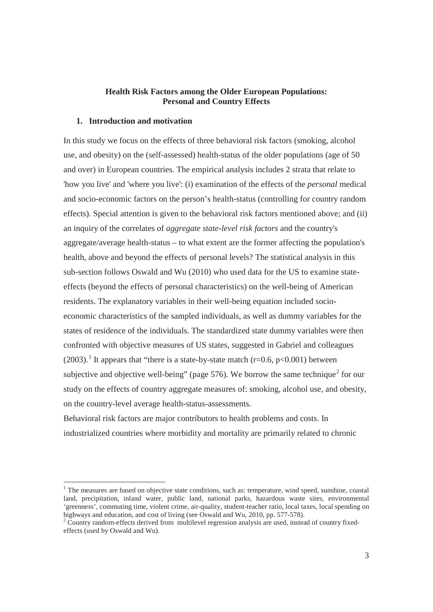#### **Health Risk Factors among the Older European Populations: Personal and Country Effects**

#### **1. Introduction and motivation**

-

In this study we focus on the effects of three behavioral risk factors (smoking, alcohol use, and obesity) on the (self-assessed) health-status of the older populations (age of 50 and over) in European countries. The empirical analysis includes 2 strata that relate to 'how you live' and 'where you live': (i) examination of the effects of the *personal* medical and socio-economic factors on the person's health-status (controlling for country random effects). Special attention is given to the behavioral risk factors mentioned above; and (ii) an inquiry of the correlates of *aggregate state-level risk factors* and the country's aggregate/average health-status – to what extent are the former affecting the population's health, above and beyond the effects of personal levels? The statistical analysis in this sub-section follows Oswald and Wu (2010) who used data for the US to examine stateeffects (beyond the effects of personal characteristics) on the well-being of American residents. The explanatory variables in their well-being equation included socioeconomic characteristics of the sampled individuals, as well as dummy variables for the states of residence of the individuals. The standardized state dummy variables were then confronted with objective measures of US states, suggested in Gabriel and colleagues (2003).<sup>1</sup> It appears that "there is a state-by-state match (r=0.6, p<0.001) between subjective and objective well-being" (page 576). We borrow the same technique<sup>2</sup> for our study on the effects of country aggregate measures of: smoking, alcohol use, and obesity, on the country-level average health-status-assessments.

Behavioral risk factors are major contributors to health problems and costs. In industrialized countries where morbidity and mortality are primarily related to chronic

<sup>&</sup>lt;sup>1</sup> The measures are based on objective state conditions, such as: temperature, wind speed, sunshine, coastal land, precipitation, inland water, public land, national parks, hazardous waste sites, environmental 'greenness', commuting time, violent crime, air-quality, student-teacher ratio, local taxes, local spending on highways and education, and cost of living (see Oswald and Wu, 2010, pp. 577-578).<br><sup>2</sup> Country random-effects derived from multilevel regression analysis are used, instead of country fixed-

effects (used by Oswald and Wu).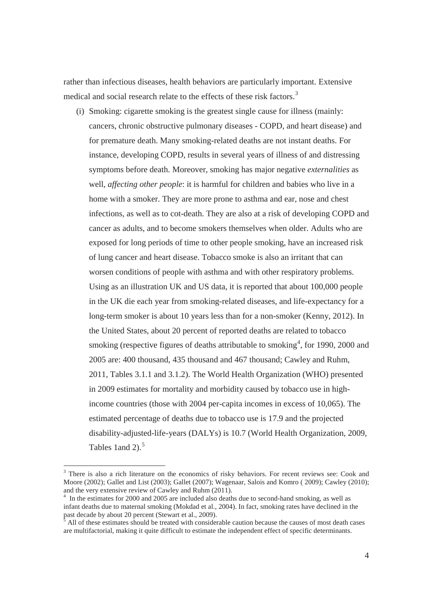rather than infectious diseases, health behaviors are particularly important. Extensive medical and social research relate to the effects of these risk factors.<sup>3</sup>

(i) Smoking: cigarette smoking is the greatest single cause for illness (mainly: cancers, chronic obstructive pulmonary diseases - COPD, and heart disease) and for premature death. Many smoking-related deaths are not instant deaths. For instance, developing COPD, results in several years of illness of and distressing symptoms before death. Moreover, smoking has major negative *externalities* as well, *affecting other people*: it is harmful for children and babies who live in a home with a smoker. They are more prone to asthma and ear, nose and chest infections, as well as to cot-death. They are also at a risk of developing COPD and cancer as adults, and to become smokers themselves when older. Adults who are exposed for long periods of time to other people smoking, have an increased risk of lung cancer and heart disease. Tobacco smoke is also an irritant that can worsen conditions of people with asthma and with other respiratory problems. Using as an illustration UK and US data, it is reported that about 100,000 people in the UK die each year from smoking-related diseases, and life-expectancy for a long-term smoker is about 10 years less than for a non-smoker (Kenny, 2012). In the United States, about 20 percent of reported deaths are related to tobacco smoking (respective figures of deaths attributable to smoking<sup>4</sup>, for 1990, 2000 and 2005 are: 400 thousand, 435 thousand and 467 thousand; Cawley and Ruhm, 2011, Tables 3.1.1 and 3.1.2). The World Health Organization (WHO) presented in 2009 estimates for mortality and morbidity caused by tobacco use in highincome countries (those with 2004 per-capita incomes in excess of 10,065). The estimated percentage of deaths due to tobacco use is 17.9 and the projected disability-adjusted-life-years (DALYs) is 10.7 (World Health Organization, 2009, Tables 1 and 2). $5$ 

-

<sup>&</sup>lt;sup>3</sup> There is also a rich literature on the economics of risky behaviors. For recent reviews see: Cook and Moore (2002); Gallet and List (2003); Gallet (2007); Wagenaar, Salois and Komro ( 2009); Cawley (2010); and the very extensive review of Cawley and Ruhm (2011).

<sup>4</sup> In the estimates for 2000 and 2005 are included also deaths due to second-hand smoking, as well as infant deaths due to maternal smoking (Mokdad et al., 2004). In fact, smoking rates have declined in the past decade by about 20 percent (Stewart et al., 2009).

All of these estimates should be treated with considerable caution because the causes of most death cases are multifactorial, making it quite difficult to estimate the independent effect of specific determinants.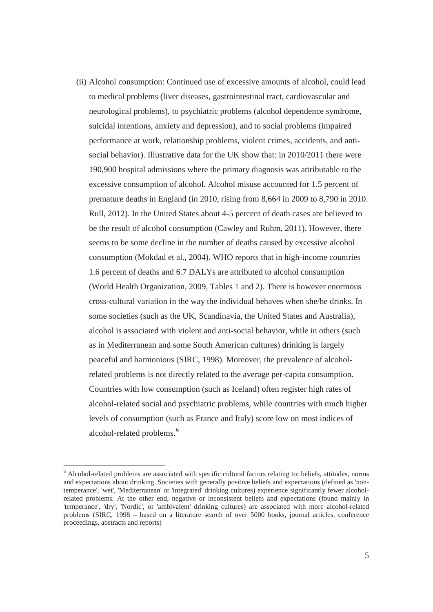(ii) Alcohol consumption: Continued use of excessive amounts of alcohol, could lead to medical problems (liver diseases, gastrointestinal tract, cardiovascular and neurological problems), to psychiatric problems (alcohol dependence syndrome, suicidal intentions, anxiety and depression), and to social problems (impaired performance at work, relationship problems, violent crimes, accidents, and antisocial behavior). Illustrative data for the UK show that: in 2010/2011 there were 190,900 hospital admissions where the primary diagnosis was attributable to the excessive consumption of alcohol. Alcohol misuse accounted for 1.5 percent of premature deaths in England (in 2010, rising from 8,664 in 2009 to 8,790 in 2010. Rull, 2012). In the United States about 4-5 percent of death cases are believed to be the result of alcohol consumption (Cawley and Ruhm, 2011). However, there seems to be some decline in the number of deaths caused by excessive alcohol consumption (Mokdad et al., 2004). WHO reports that in high-income countries 1.6 percent of deaths and 6.7 DALYs are attributed to alcohol consumption (World Health Organization, 2009, Tables 1 and 2). There is however enormous cross-cultural variation in the way the individual behaves when she/he drinks. In some societies (such as the UK, Scandinavia, the United States and Australia), alcohol is associated with violent and anti-social behavior, while in others (such as in Mediterranean and some South American cultures) drinking is largely peaceful and harmonious (SIRC, 1998). Moreover, the prevalence of alcoholrelated problems is not directly related to the average per-capita consumption. Countries with low consumption (such as Iceland) often register high rates of alcohol-related social and psychiatric problems, while countries with much higher levels of consumption (such as France and Italy) score low on most indices of alcohol-related problems.<sup>6</sup>

-

<sup>&</sup>lt;sup>6</sup> Alcohol-related problems are associated with specific cultural factors relating to: beliefs, attitudes, norms and expectations about drinking. Societies with generally positive beliefs and expectations (defined as 'nontemperance', 'wet', 'Mediterranean' or 'integrated' drinking cultures) experience significantly fewer alcoholrelated problems. At the other end, negative or inconsistent beliefs and expectations (found mainly in 'temperance', 'dry', 'Nordic', or 'ambivalent' drinking cultures) are associated with more alcohol-related problems (SIRC, 1998 – based on a literature search of over 5000 books, journal articles, conference proceedings, abstracts and reports)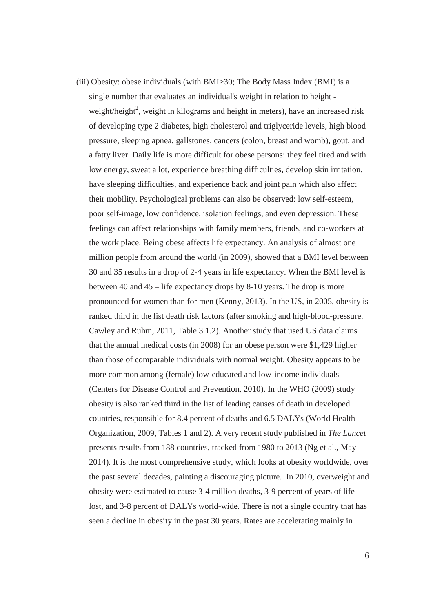(iii) Obesity: obese individuals (with BMI>30; The Body Mass Index (BMI) is a single number that evaluates an individual's weight in relation to height weight/height<sup>2</sup>, weight in kilograms and height in meters), have an increased risk of developing type 2 diabetes, high cholesterol and triglyceride levels, high blood pressure, sleeping apnea, gallstones, cancers (colon, breast and womb), gout, and a fatty liver. Daily life is more difficult for obese persons: they feel tired and with low energy, sweat a lot, experience breathing difficulties, develop skin irritation, have sleeping difficulties, and experience back and joint pain which also affect their mobility. Psychological problems can also be observed: low self-esteem, poor self-image, low confidence, isolation feelings, and even depression. These feelings can affect relationships with family members, friends, and co-workers at the work place. Being obese affects life expectancy. An analysis of almost one million people from around the world (in 2009), showed that a BMI level between 30 and 35 results in a drop of 2-4 years in life expectancy. When the BMI level is between 40 and 45 – life expectancy drops by 8-10 years. The drop is more pronounced for women than for men (Kenny, 2013). In the US, in 2005, obesity is ranked third in the list death risk factors (after smoking and high-blood-pressure. Cawley and Ruhm, 2011, Table 3.1.2). Another study that used US data claims that the annual medical costs (in 2008) for an obese person were \$1,429 higher than those of comparable individuals with normal weight. Obesity appears to be more common among (female) low-educated and low-income individuals (Centers for Disease Control and Prevention, 2010). In the WHO (2009) study obesity is also ranked third in the list of leading causes of death in developed countries, responsible for 8.4 percent of deaths and 6.5 DALYs (World Health Organization, 2009, Tables 1 and 2). A very recent study published in *The Lancet* presents results from 188 countries, tracked from 1980 to 2013 (Ng et al., May 2014). It is the most comprehensive study, which looks at obesity worldwide, over the past several decades, painting a discouraging picture. In 2010, overweight and obesity were estimated to cause 3-4 million deaths, 3-9 percent of years of life lost, and 3-8 percent of DALYs world-wide. There is not a single country that has seen a decline in obesity in the past 30 years. Rates are accelerating mainly in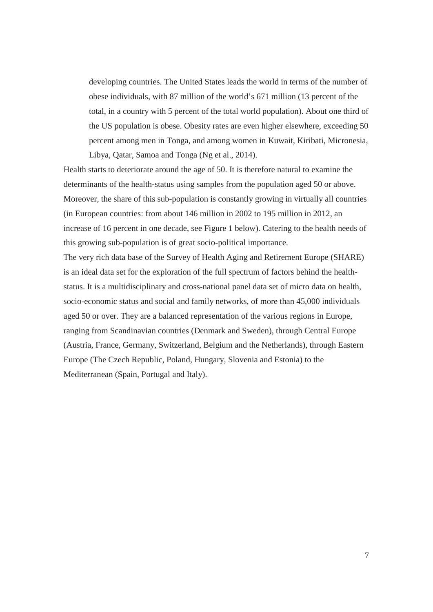developing countries. The United States leads the world in terms of the number of obese individuals, with 87 million of the world's 671 million (13 percent of the total, in a country with 5 percent of the total world population). About one third of the US population is obese. Obesity rates are even higher elsewhere, exceeding 50 percent among men in Tonga, and among women in Kuwait, Kiribati, Micronesia, Libya, Qatar, Samoa and Tonga (Ng et al., 2014).

Health starts to deteriorate around the age of 50. It is therefore natural to examine the determinants of the health-status using samples from the population aged 50 or above. Moreover, the share of this sub-population is constantly growing in virtually all countries (in European countries: from about 146 million in 2002 to 195 million in 2012, an increase of 16 percent in one decade, see Figure 1 below). Catering to the health needs of this growing sub-population is of great socio-political importance.

The very rich data base of the Survey of Health Aging and Retirement Europe (SHARE) is an ideal data set for the exploration of the full spectrum of factors behind the healthstatus. It is a multidisciplinary and cross-national panel data set of micro data on health, socio-economic status and social and family networks, of more than 45,000 individuals aged 50 or over. They are a balanced representation of the various regions in Europe, ranging from Scandinavian countries (Denmark and Sweden), through Central Europe (Austria, France, Germany, Switzerland, Belgium and the Netherlands), through Eastern Europe (The Czech Republic, Poland, Hungary, Slovenia and Estonia) to the Mediterranean (Spain, Portugal and Italy).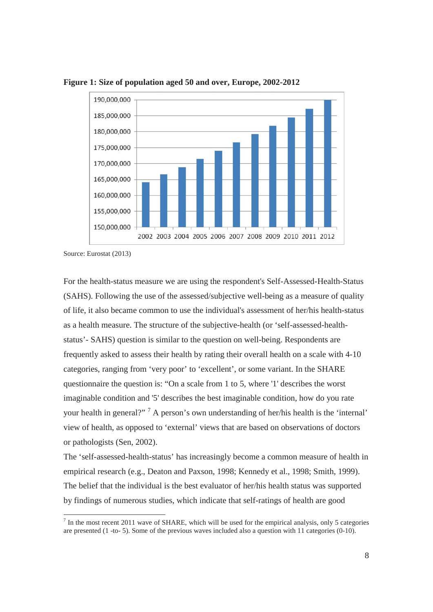

**Figure 1: Size of population aged 50 and over, Europe, 2002-2012** 

Source: Eurostat (2013)

-

For the health-status measure we are using the respondent's Self-Assessed-Health-Status (SAHS). Following the use of the assessed/subjective well-being as a measure of quality of life, it also became common to use the individual's assessment of her/his health-status as a health measure. The structure of the subjective-health (or 'self-assessed-healthstatus'- SAHS) question is similar to the question on well-being. Respondents are frequently asked to assess their health by rating their overall health on a scale with 4-10 categories, ranging from 'very poor' to 'excellent', or some variant. In the SHARE questionnaire the question is: "On a scale from 1 to 5, where '1' describes the worst imaginable condition and '5' describes the best imaginable condition, how do you rate your health in general?"<sup>7</sup> A person's own understanding of her/his health is the 'internal' view of health, as opposed to 'external' views that are based on observations of doctors or pathologists (Sen, 2002).

The 'self-assessed-health-status' has increasingly become a common measure of health in empirical research (e.g., Deaton and Paxson, 1998; Kennedy et al., 1998; Smith, 1999). The belief that the individual is the best evaluator of her/his health status was supported by findings of numerous studies, which indicate that self-ratings of health are good

 $<sup>7</sup>$  In the most recent 2011 wave of SHARE, which will be used for the empirical analysis, only 5 categories</sup> are presented (1 -to- 5). Some of the previous waves included also a question with 11 categories (0-10).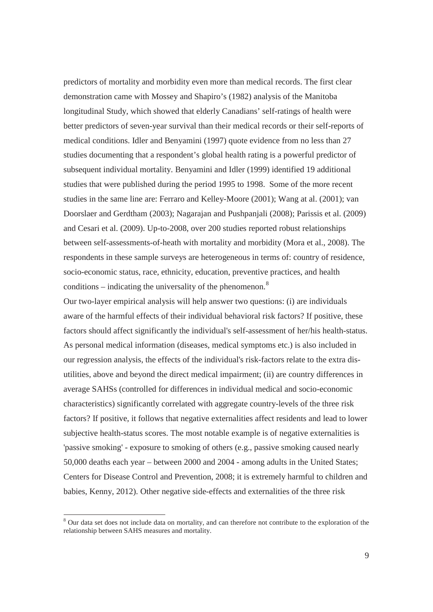predictors of mortality and morbidity even more than medical records. The first clear demonstration came with Mossey and Shapiro's (1982) analysis of the Manitoba longitudinal Study, which showed that elderly Canadians' self-ratings of health were better predictors of seven-year survival than their medical records or their self-reports of medical conditions. Idler and Benyamini (1997) quote evidence from no less than 27 studies documenting that a respondent's global health rating is a powerful predictor of subsequent individual mortality. Benyamini and Idler (1999) identified 19 additional studies that were published during the period 1995 to 1998. Some of the more recent studies in the same line are: Ferraro and Kelley-Moore (2001); Wang at al. (2001); van Doorslaer and Gerdtham (2003); Nagarajan and Pushpanjali (2008); Parissis et al. (2009) and Cesari et al. (2009). Up-to-2008, over 200 studies reported robust relationships between self-assessments-of-heath with mortality and morbidity (Mora et al., 2008). The respondents in these sample surveys are heterogeneous in terms of: country of residence, socio-economic status, race, ethnicity, education, preventive practices, and health conditions – indicating the universality of the phenomenon. $8$ 

Our two-layer empirical analysis will help answer two questions: (i) are individuals aware of the harmful effects of their individual behavioral risk factors? If positive, these factors should affect significantly the individual's self-assessment of her/his health-status. As personal medical information (diseases, medical symptoms etc.) is also included in our regression analysis, the effects of the individual's risk-factors relate to the extra disutilities, above and beyond the direct medical impairment; (ii) are country differences in average SAHSs (controlled for differences in individual medical and socio-economic characteristics) significantly correlated with aggregate country-levels of the three risk factors? If positive, it follows that negative externalities affect residents and lead to lower subjective health-status scores. The most notable example is of negative externalities is 'passive smoking' - exposure to smoking of others (e.g., passive smoking caused nearly 50,000 deaths each year – between 2000 and 2004 - among adults in the United States; Centers for Disease Control and Prevention, 2008; it is extremely harmful to children and babies, Kenny, 2012). Other negative side-effects and externalities of the three risk

-

<sup>&</sup>lt;sup>8</sup> Our data set does not include data on mortality, and can therefore not contribute to the exploration of the relationship between SAHS measures and mortality.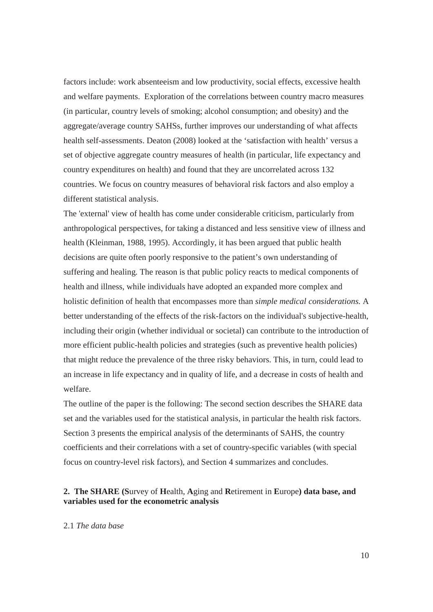factors include: work absenteeism and low productivity, social effects, excessive health and welfare payments. Exploration of the correlations between country macro measures (in particular, country levels of smoking; alcohol consumption; and obesity) and the aggregate/average country SAHSs, further improves our understanding of what affects health self-assessments. Deaton (2008) looked at the 'satisfaction with health' versus a set of objective aggregate country measures of health (in particular, life expectancy and country expenditures on health) and found that they are uncorrelated across 132 countries. We focus on country measures of behavioral risk factors and also employ a different statistical analysis.

The 'external' view of health has come under considerable criticism, particularly from anthropological perspectives, for taking a distanced and less sensitive view of illness and health (Kleinman, 1988, 1995). Accordingly, it has been argued that public health decisions are quite often poorly responsive to the patient's own understanding of suffering and healing. The reason is that public policy reacts to medical components of health and illness, while individuals have adopted an expanded more complex and holistic definition of health that encompasses more than *simple medical considerations.* A better understanding of the effects of the risk-factors on the individual's subjective-health, including their origin (whether individual or societal) can contribute to the introduction of more efficient public-health policies and strategies (such as preventive health policies) that might reduce the prevalence of the three risky behaviors. This, in turn, could lead to an increase in life expectancy and in quality of life, and a decrease in costs of health and welfare.

The outline of the paper is the following: The second section describes the SHARE data set and the variables used for the statistical analysis, in particular the health risk factors. Section 3 presents the empirical analysis of the determinants of SAHS, the country coefficients and their correlations with a set of country-specific variables (with special focus on country-level risk factors), and Section 4 summarizes and concludes.

#### **2. The SHARE (S**urvey of **H**ealth, **A**ging and **R**etirement in **E**urope**) data base, and variables used for the econometric analysis**

#### 2.1 *The data base*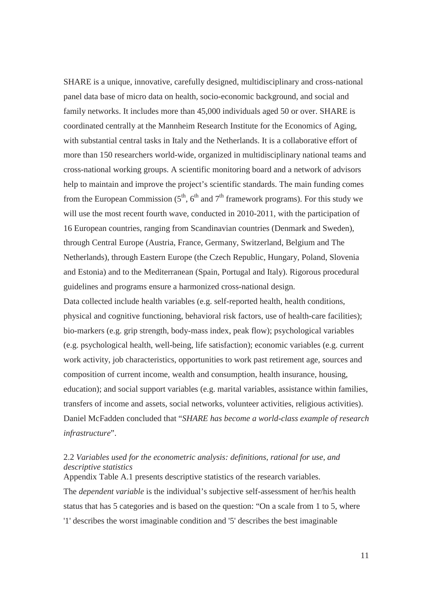SHARE is a unique, innovative, carefully designed, multidisciplinary and cross-national panel data base of micro data on health, socio-economic background, and social and family networks. It includes more than 45,000 individuals aged 50 or over. SHARE is coordinated centrally at the Mannheim Research Institute for the Economics of Aging, with substantial central tasks in Italy and the Netherlands. It is a collaborative effort of more than 150 researchers world-wide, organized in multidisciplinary national teams and cross-national working groups. A scientific monitoring board and a network of advisors help to maintain and improve the project's scientific standards. The main funding comes from the European Commission  $(5<sup>th</sup>, 6<sup>th</sup>$  and  $7<sup>th</sup>$  framework programs). For this study we will use the most recent fourth wave, conducted in 2010-2011, with the participation of 16 European countries, ranging from Scandinavian countries (Denmark and Sweden), through Central Europe (Austria, France, Germany, Switzerland, Belgium and The Netherlands), through Eastern Europe (the Czech Republic, Hungary, Poland, Slovenia and Estonia) and to the Mediterranean (Spain, Portugal and Italy). Rigorous procedural guidelines and programs ensure a harmonized cross-national design.

Data collected include health variables (e.g. self-reported health, health conditions, physical and cognitive functioning, behavioral risk factors, use of health-care facilities); bio-markers (e.g. grip strength, body-mass index, peak flow); psychological variables (e.g. psychological health, well-being, life satisfaction); economic variables (e.g. current work activity, job characteristics, opportunities to work past retirement age, sources and composition of current income, wealth and consumption, health insurance, housing, education); and social support variables (e.g. marital variables, assistance within families, transfers of income and assets, social networks, volunteer activities, religious activities). Daniel McFadden concluded that "*SHARE has become a world-class example of research infrastructure*".

#### 2.2 *Variables used for the econometric analysis: definitions, rational for use, and descriptive statistics*  Appendix Table A.1 presents descriptive statistics of the research variables.

The *dependent variable* is the individual's subjective self-assessment of her/his health status that has 5 categories and is based on the question: "On a scale from 1 to 5, where '1' describes the worst imaginable condition and '5' describes the best imaginable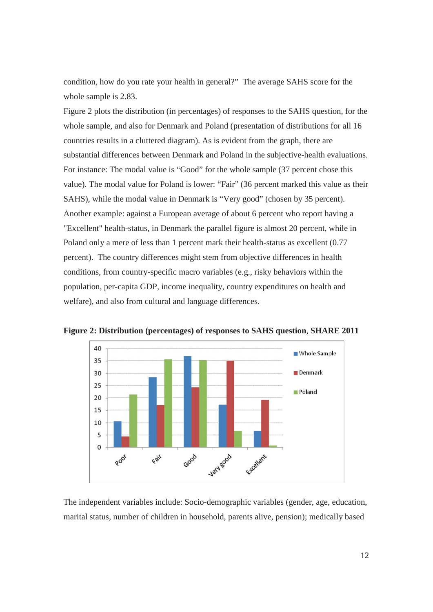condition, how do you rate your health in general?" The average SAHS score for the whole sample is 2.83.

Figure 2 plots the distribution (in percentages) of responses to the SAHS question, for the whole sample, and also for Denmark and Poland (presentation of distributions for all 16 countries results in a cluttered diagram). As is evident from the graph, there are substantial differences between Denmark and Poland in the subjective-health evaluations. For instance: The modal value is "Good" for the whole sample (37 percent chose this value). The modal value for Poland is lower: "Fair" (36 percent marked this value as their SAHS), while the modal value in Denmark is "Very good" (chosen by 35 percent). Another example: against a European average of about 6 percent who report having a "Excellent" health-status, in Denmark the parallel figure is almost 20 percent, while in Poland only a mere of less than 1 percent mark their health-status as excellent (0.77 percent). The country differences might stem from objective differences in health conditions, from country-specific macro variables (e.g., risky behaviors within the population, per-capita GDP, income inequality, country expenditures on health and welfare), and also from cultural and language differences.



**Figure 2: Distribution (percentages) of responses to SAHS question**, **SHARE 2011**

The independent variables include: Socio-demographic variables (gender, age, education, marital status, number of children in household, parents alive, pension); medically based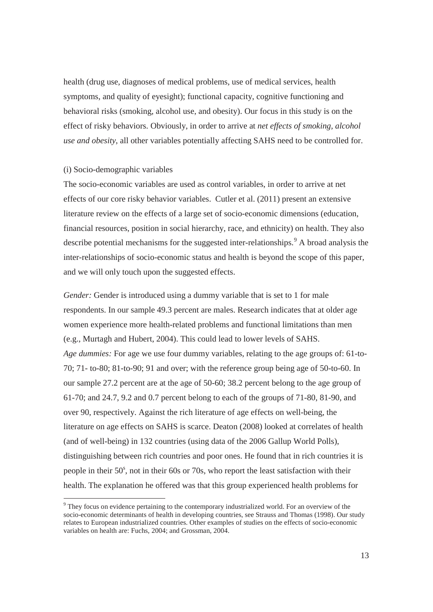health (drug use, diagnoses of medical problems, use of medical services, health symptoms, and quality of eyesight); functional capacity, cognitive functioning and behavioral risks (smoking, alcohol use, and obesity). Our focus in this study is on the effect of risky behaviors. Obviously, in order to arrive at *net effects of smoking, alcohol use and obesity*, all other variables potentially affecting SAHS need to be controlled for.

#### (i) Socio-demographic variables

-

The socio-economic variables are used as control variables, in order to arrive at net effects of our core risky behavior variables. Cutler et al. (2011) present an extensive literature review on the effects of a large set of socio-economic dimensions (education, financial resources, position in social hierarchy, race, and ethnicity) on health. They also describe potential mechanisms for the suggested inter-relationships.<sup>9</sup> A broad analysis the inter-relationships of socio-economic status and health is beyond the scope of this paper, and we will only touch upon the suggested effects.

*Gender:* Gender is introduced using a dummy variable that is set to 1 for male respondents. In our sample 49.3 percent are males. Research indicates that at older age women experience more health-related problems and functional limitations than men (e.g., Murtagh and Hubert, 2004). This could lead to lower levels of SAHS. *Age dummies:* For age we use four dummy variables, relating to the age groups of: 61-to-70; 71- to-80; 81-to-90; 91 and over; with the reference group being age of 50-to-60. In our sample 27.2 percent are at the age of 50-60; 38.2 percent belong to the age group of 61-70; and 24.7, 9.2 and 0.7 percent belong to each of the groups of 71-80, 81-90, and over 90, respectively. Against the rich literature of age effects on well-being, the literature on age effects on SAHS is scarce. Deaton (2008) looked at correlates of health (and of well-being) in 132 countries (using data of the 2006 Gallup World Polls), distinguishing between rich countries and poor ones. He found that in rich countries it is people in their  $50^{\circ}$ , not in their 60s or 70s, who report the least satisfaction with their health. The explanation he offered was that this group experienced health problems for

<sup>&</sup>lt;sup>9</sup> They focus on evidence pertaining to the contemporary industrialized world. For an overview of the socio-economic determinants of health in developing countries, see Strauss and Thomas (1998). Our study relates to European industrialized countries. Other examples of studies on the effects of socio-economic variables on health are: Fuchs, 2004; and Grossman, 2004.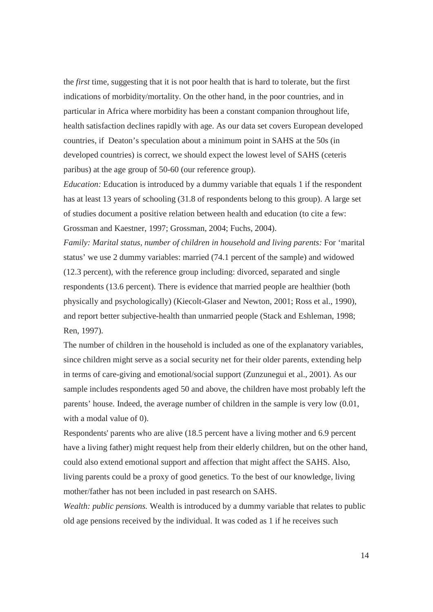the *first* time, suggesting that it is not poor health that is hard to tolerate, but the first indications of morbidity/mortality. On the other hand, in the poor countries, and in particular in Africa where morbidity has been a constant companion throughout life, health satisfaction declines rapidly with age. As our data set covers European developed countries, if Deaton's speculation about a minimum point in SAHS at the 50s (in developed countries) is correct, we should expect the lowest level of SAHS (ceteris paribus) at the age group of 50-60 (our reference group).

*Education:* Education is introduced by a dummy variable that equals 1 if the respondent has at least 13 years of schooling (31.8 of respondents belong to this group). A large set of studies document a positive relation between health and education (to cite a few: Grossman and Kaestner, 1997; Grossman, 2004; Fuchs, 2004).

*Family: Marital status, number of children in household and living parents: For 'marital* status' we use 2 dummy variables: married (74.1 percent of the sample) and widowed (12.3 percent), with the reference group including: divorced, separated and single respondents (13.6 percent). There is evidence that married people are healthier (both physically and psychologically) (Kiecolt-Glaser and Newton, 2001; Ross et al., 1990), and report better subjective-health than unmarried people (Stack and Eshleman, 1998; Ren, 1997).

The number of children in the household is included as one of the explanatory variables, since children might serve as a social security net for their older parents, extending help in terms of care-giving and emotional/social support (Zunzunegui et al., 2001). As our sample includes respondents aged 50 and above, the children have most probably left the parents' house. Indeed, the average number of children in the sample is very low (0.01, with a modal value of 0).

Respondents' parents who are alive (18.5 percent have a living mother and 6.9 percent have a living father) might request help from their elderly children, but on the other hand, could also extend emotional support and affection that might affect the SAHS. Also, living parents could be a proxy of good genetics. To the best of our knowledge, living mother/father has not been included in past research on SAHS.

*Wealth: public pensions.* Wealth is introduced by a dummy variable that relates to public old age pensions received by the individual. It was coded as 1 if he receives such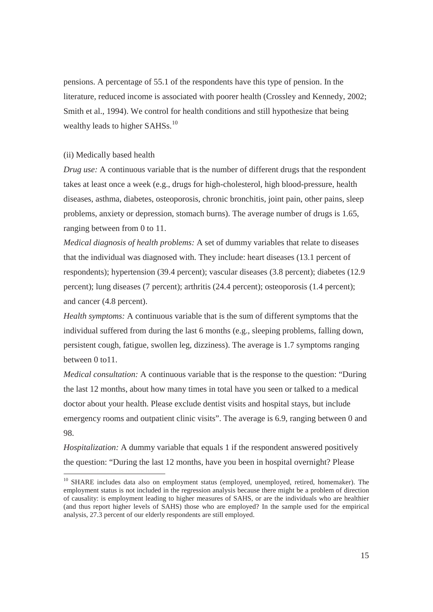pensions. A percentage of 55.1 of the respondents have this type of pension. In the literature, reduced income is associated with poorer health (Crossley and Kennedy, 2002; Smith et al., 1994). We control for health conditions and still hypothesize that being wealthy leads to higher SAHSs.<sup>10</sup>

#### (ii) Medically based health

-

*Drug use:* A continuous variable that is the number of different drugs that the respondent takes at least once a week (e.g., drugs for high-cholesterol, high blood-pressure, health diseases, asthma, diabetes, osteoporosis, chronic bronchitis, joint pain, other pains, sleep problems, anxiety or depression, stomach burns). The average number of drugs is 1.65, ranging between from 0 to 11.

*Medical diagnosis of health problems:* A set of dummy variables that relate to diseases that the individual was diagnosed with. They include: heart diseases (13.1 percent of respondents); hypertension (39.4 percent); vascular diseases (3.8 percent); diabetes (12.9 percent); lung diseases (7 percent); arthritis (24.4 percent); osteoporosis (1.4 percent); and cancer (4.8 percent).

*Health symptoms:* A continuous variable that is the sum of different symptoms that the individual suffered from during the last 6 months (e.g., sleeping problems, falling down, persistent cough, fatigue, swollen leg, dizziness). The average is 1.7 symptoms ranging between 0 to11.

*Medical consultation:* A continuous variable that is the response to the question: "During the last 12 months, about how many times in total have you seen or talked to a medical doctor about your health. Please exclude dentist visits and hospital stays, but include emergency rooms and outpatient clinic visits". The average is 6.9, ranging between 0 and 98.

*Hospitalization:* A dummy variable that equals 1 if the respondent answered positively the question: "During the last 12 months, have you been in hospital overnight? Please

<sup>&</sup>lt;sup>10</sup> SHARE includes data also on employment status (employed, unemployed, retired, homemaker). The employment status is not included in the regression analysis because there might be a problem of direction of causality: is employment leading to higher measures of SAHS, or are the individuals who are healthier (and thus report higher levels of SAHS) those who are employed? In the sample used for the empirical analysis, 27.3 percent of our elderly respondents are still employed.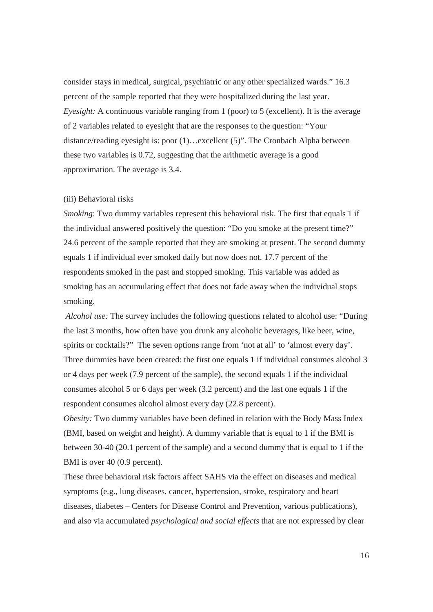consider stays in medical, surgical, psychiatric or any other specialized wards." 16.3 percent of the sample reported that they were hospitalized during the last year. *Eyesight:* A continuous variable ranging from 1 (poor) to 5 (excellent). It is the average of 2 variables related to eyesight that are the responses to the question: "Your distance/reading eyesight is: poor (1)…excellent (5)". The Cronbach Alpha between these two variables is 0.72, suggesting that the arithmetic average is a good approximation. The average is 3.4.

#### (iii) Behavioral risks

*Smoking*: Two dummy variables represent this behavioral risk. The first that equals 1 if the individual answered positively the question: "Do you smoke at the present time?" 24.6 percent of the sample reported that they are smoking at present. The second dummy equals 1 if individual ever smoked daily but now does not. 17.7 percent of the respondents smoked in the past and stopped smoking. This variable was added as smoking has an accumulating effect that does not fade away when the individual stops smoking.

*Alcohol use:* The survey includes the following questions related to alcohol use: "During the last 3 months, how often have you drunk any alcoholic beverages, like beer, wine, spirits or cocktails?" The seven options range from 'not at all' to 'almost every day'. Three dummies have been created: the first one equals 1 if individual consumes alcohol 3 or 4 days per week (7.9 percent of the sample), the second equals 1 if the individual consumes alcohol 5 or 6 days per week (3.2 percent) and the last one equals 1 if the respondent consumes alcohol almost every day (22.8 percent).

*Obesity:* Two dummy variables have been defined in relation with the Body Mass Index (BMI, based on weight and height). A dummy variable that is equal to 1 if the BMI is between 30-40 (20.1 percent of the sample) and a second dummy that is equal to 1 if the BMI is over 40 (0.9 percent).

These three behavioral risk factors affect SAHS via the effect on diseases and medical symptoms (e.g., lung diseases, cancer, hypertension, stroke, respiratory and heart diseases, diabetes – Centers for Disease Control and Prevention, various publications), and also via accumulated *psychological and social effects* that are not expressed by clear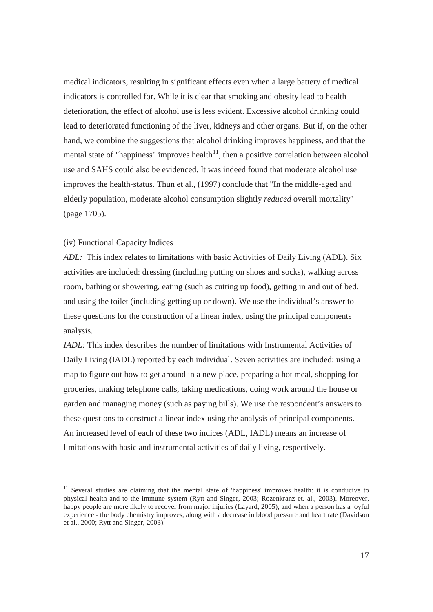medical indicators, resulting in significant effects even when a large battery of medical indicators is controlled for. While it is clear that smoking and obesity lead to health deterioration, the effect of alcohol use is less evident. Excessive alcohol drinking could lead to deteriorated functioning of the liver, kidneys and other organs. But if, on the other hand, we combine the suggestions that alcohol drinking improves happiness, and that the mental state of "happiness" improves health $11$ , then a positive correlation between alcohol use and SAHS could also be evidenced. It was indeed found that moderate alcohol use improves the health-status. Thun et al., (1997) conclude that "In the middle-aged and elderly population, moderate alcohol consumption slightly *reduced* overall mortality" (page 1705).

#### (iv) Functional Capacity Indices

-

*ADL:* This index relates to limitations with basic Activities of Daily Living (ADL). Six activities are included: dressing (including putting on shoes and socks), walking across room, bathing or showering, eating (such as cutting up food), getting in and out of bed, and using the toilet (including getting up or down). We use the individual's answer to these questions for the construction of a linear index, using the principal components analysis.

*IADL*: This index describes the number of limitations with Instrumental Activities of Daily Living (IADL) reported by each individual. Seven activities are included: using a map to figure out how to get around in a new place, preparing a hot meal, shopping for groceries, making telephone calls, taking medications, doing work around the house or garden and managing money (such as paying bills). We use the respondent's answers to these questions to construct a linear index using the analysis of principal components. An increased level of each of these two indices (ADL, IADL) means an increase of limitations with basic and instrumental activities of daily living, respectively.

<sup>&</sup>lt;sup>11</sup> Several studies are claiming that the mental state of 'happiness' improves health: it is conducive to physical health and to the immune system (Rytt and Singer, 2003; Rozenkranz et. al., 2003). Moreover, happy people are more likely to recover from major injuries (Layard, 2005), and when a person has a joyful experience - the body chemistry improves, along with a decrease in blood pressure and heart rate (Davidson et al., 2000; Rytt and Singer, 2003).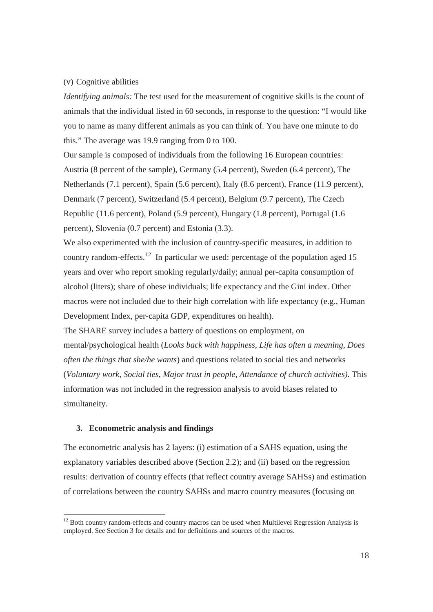#### (v) Cognitive abilities

*Identifying animals:* The test used for the measurement of cognitive skills is the count of animals that the individual listed in 60 seconds, in response to the question: "I would like you to name as many different animals as you can think of. You have one minute to do this." The average was 19.9 ranging from 0 to 100.

Our sample is composed of individuals from the following 16 European countries: Austria (8 percent of the sample), Germany (5.4 percent), Sweden (6.4 percent), The Netherlands (7.1 percent), Spain (5.6 percent), Italy (8.6 percent), France (11.9 percent), Denmark (7 percent), Switzerland (5.4 percent), Belgium (9.7 percent), The Czech Republic (11.6 percent), Poland (5.9 percent), Hungary (1.8 percent), Portugal (1.6 percent), Slovenia (0.7 percent) and Estonia (3.3).

We also experimented with the inclusion of country-specific measures, in addition to country random-effects.<sup>12</sup> In particular we used: percentage of the population aged 15 years and over who report smoking regularly/daily; annual per-capita consumption of alcohol (liters); share of obese individuals; life expectancy and the Gini index. Other macros were not included due to their high correlation with life expectancy (e.g., Human Development Index, per-capita GDP, expenditures on health).

The SHARE survey includes a battery of questions on employment, on mental/psychological health (*Looks back with happiness, Life has often a meaning*, *Does often the things that she/he wants*) and questions related to social ties and networks (*Voluntary work*, *Social ties*, *Major trust in people*, *Attendance of church activities)*. This information was not included in the regression analysis to avoid biases related to simultaneity.

#### **3. Econometric analysis and findings**

-

The econometric analysis has 2 layers: (i) estimation of a SAHS equation, using the explanatory variables described above (Section 2.2); and (ii) based on the regression results: derivation of country effects (that reflect country average SAHSs) and estimation of correlations between the country SAHSs and macro country measures (focusing on

 $12$  Both country random-effects and country macros can be used when Multilevel Regression Analysis is employed. See Section 3 for details and for definitions and sources of the macros.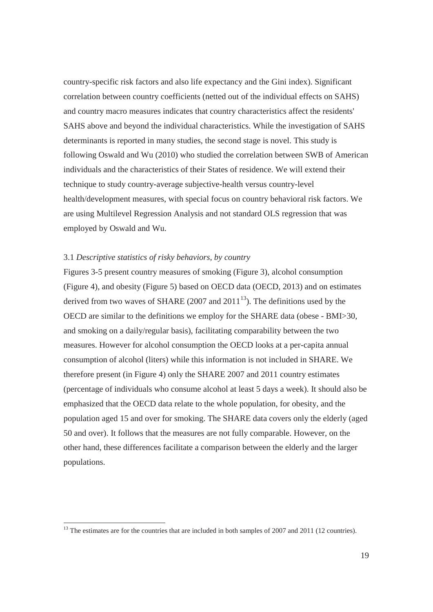country-specific risk factors and also life expectancy and the Gini index). Significant correlation between country coefficients (netted out of the individual effects on SAHS) and country macro measures indicates that country characteristics affect the residents' SAHS above and beyond the individual characteristics. While the investigation of SAHS determinants is reported in many studies, the second stage is novel. This study is following Oswald and Wu (2010) who studied the correlation between SWB of American individuals and the characteristics of their States of residence. We will extend their technique to study country-average subjective-health versus country-level health/development measures, with special focus on country behavioral risk factors. We are using Multilevel Regression Analysis and not standard OLS regression that was employed by Oswald and Wu.

#### 3.1 *Descriptive statistics of risky behaviors, by country*

-

Figures 3-5 present country measures of smoking (Figure 3), alcohol consumption (Figure 4), and obesity (Figure 5) based on OECD data (OECD, 2013) and on estimates derived from two waves of SHARE (2007 and 2011<sup>13</sup>). The definitions used by the OECD are similar to the definitions we employ for the SHARE data (obese - BMI>30, and smoking on a daily/regular basis), facilitating comparability between the two measures. However for alcohol consumption the OECD looks at a per-capita annual consumption of alcohol (liters) while this information is not included in SHARE. We therefore present (in Figure 4) only the SHARE 2007 and 2011 country estimates (percentage of individuals who consume alcohol at least 5 days a week). It should also be emphasized that the OECD data relate to the whole population, for obesity, and the population aged 15 and over for smoking. The SHARE data covers only the elderly (aged 50 and over). It follows that the measures are not fully comparable. However, on the other hand, these differences facilitate a comparison between the elderly and the larger populations.

 $^{13}$  The estimates are for the countries that are included in both samples of 2007 and 2011 (12 countries).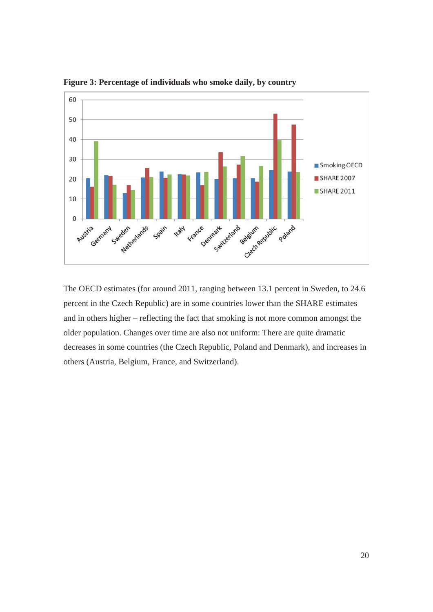

**Figure 3: Percentage of individuals who smoke daily, by country** 

The OECD estimates (for around 2011, ranging between 13.1 percent in Sweden, to 24.6 percent in the Czech Republic) are in some countries lower than the SHARE estimates and in others higher – reflecting the fact that smoking is not more common amongst the older population. Changes over time are also not uniform: There are quite dramatic decreases in some countries (the Czech Republic, Poland and Denmark), and increases in others (Austria, Belgium, France, and Switzerland).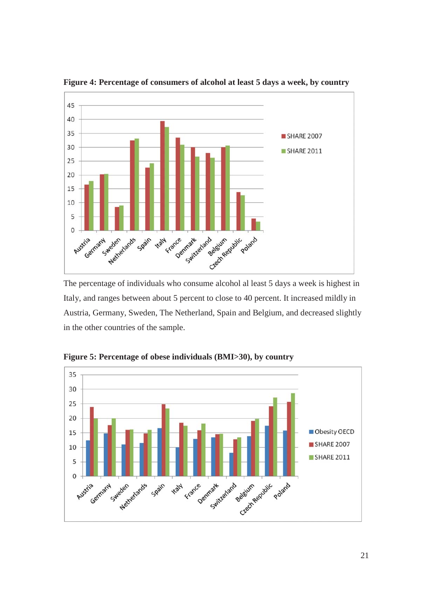

**Figure 4: Percentage of consumers of alcohol at least 5 days a week, by country** 

The percentage of individuals who consume alcohol al least 5 days a week is highest in Italy, and ranges between about 5 percent to close to 40 percent. It increased mildly in Austria, Germany, Sweden, The Netherland, Spain and Belgium, and decreased slightly in the other countries of the sample.



**Figure 5: Percentage of obese individuals (BMI>30), by country**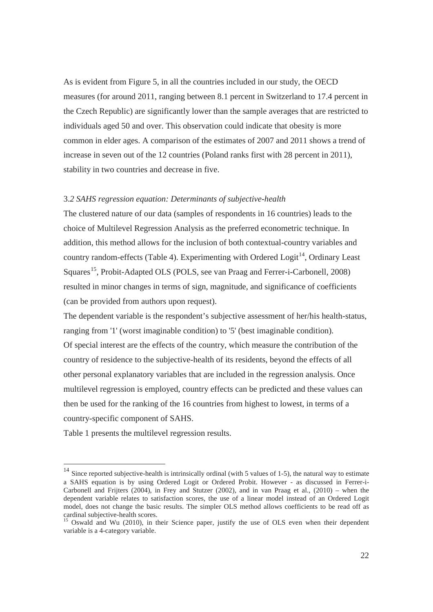As is evident from Figure 5, in all the countries included in our study, the OECD measures (for around 2011, ranging between 8.1 percent in Switzerland to 17.4 percent in the Czech Republic) are significantly lower than the sample averages that are restricted to individuals aged 50 and over. This observation could indicate that obesity is more common in elder ages. A comparison of the estimates of 2007 and 2011 shows a trend of increase in seven out of the 12 countries (Poland ranks first with 28 percent in 2011), stability in two countries and decrease in five.

#### 3.*2 SAHS regression equation: Determinants of subjective-health*

The clustered nature of our data (samples of respondents in 16 countries) leads to the choice of Multilevel Regression Analysis as the preferred econometric technique. In addition, this method allows for the inclusion of both contextual-country variables and country random-effects (Table 4). Experimenting with Ordered Logit<sup>14</sup>, Ordinary Least Squares<sup>15</sup>, Probit-Adapted OLS (POLS, see van Praag and Ferrer-i-Carbonell, 2008) resulted in minor changes in terms of sign, magnitude, and significance of coefficients (can be provided from authors upon request).

The dependent variable is the respondent's subjective assessment of her/his health-status, ranging from '1' (worst imaginable condition) to '5' (best imaginable condition). Of special interest are the effects of the country, which measure the contribution of the country of residence to the subjective-health of its residents, beyond the effects of all other personal explanatory variables that are included in the regression analysis. Once multilevel regression is employed, country effects can be predicted and these values can then be used for the ranking of the 16 countries from highest to lowest, in terms of a country-specific component of SAHS.

Table 1 presents the multilevel regression results.

-

 $14$  Since reported subjective-health is intrinsically ordinal (with 5 values of 1-5), the natural way to estimate a SAHS equation is by using Ordered Logit or Ordered Probit. However - as discussed in Ferrer-i-Carbonell and Frijters (2004), in Frey and Stutzer (2002), and in van Praag et al., (2010) – when the dependent variable relates to satisfaction scores, the use of a linear model instead of an Ordered Logit model, does not change the basic results. The simpler OLS method allows coefficients to be read off as cardinal subjective-health scores.<br><sup>15</sup> Oswald and Wu (2010), in their Science paper, justify the use of OLS even when their dependent

variable is a 4-category variable.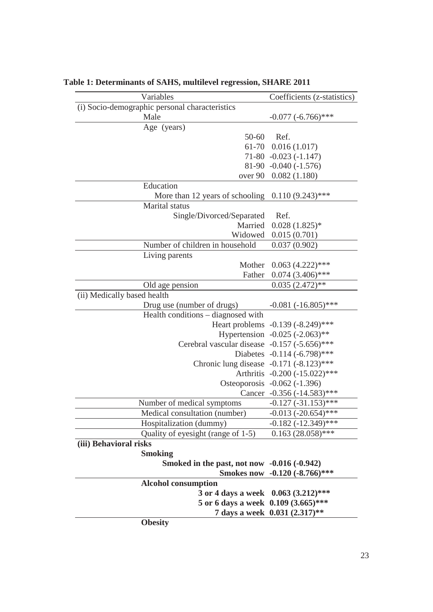| Variables                                          | Coefficients (z-statistics)         |  |
|----------------------------------------------------|-------------------------------------|--|
| (i) Socio-demographic personal characteristics     |                                     |  |
| Male                                               | $-0.077 (-6.766)$ ***               |  |
| Age (years)                                        |                                     |  |
| $50 - 60$                                          | Ref.                                |  |
|                                                    | $61-70$ $0.016(1.017)$              |  |
|                                                    | $71-80 -0.023(-1.147)$              |  |
|                                                    | $81-90 -0.040 (-1.576)$             |  |
|                                                    | over 90 0.082 (1.180)               |  |
| Education                                          |                                     |  |
| More than 12 years of schooling $0.110(9.243)$ *** |                                     |  |
| Marital status                                     |                                     |  |
| Single/Divorced/Separated                          | Ref.                                |  |
| Married                                            | $0.028(1.825)*$                     |  |
| Widowed                                            | 0.015(0.701)                        |  |
| Number of children in household                    | 0.037(0.902)                        |  |
| Living parents                                     |                                     |  |
| Mother                                             | $0.063(4.222)***$                   |  |
| Father                                             | $0.074(3.406)$ ***                  |  |
| Old age pension                                    | $0.035(2.472)$ **                   |  |
| (ii) Medically based health                        |                                     |  |
| Drug use (number of drugs)                         | $-0.081 (-16.805)$ ***              |  |
| Health conditions – diagnosed with                 |                                     |  |
|                                                    | Heart problems -0.139 (-8.249)***   |  |
|                                                    | Hypertension $-0.025$ $(-2.063)$ ** |  |
| Cerebral vascular disease -0.157 (-5.656)***       |                                     |  |
|                                                    | Diabetes $-0.114$ $(-6.798)$ ***    |  |
| Chronic lung disease -0.171 (-8.123)***            |                                     |  |
|                                                    | Arthritis -0.200 (-15.022)***       |  |
|                                                    | Osteoporosis -0.062 (-1.396)        |  |
|                                                    | Cancer $-0.356 (-14.583)$ ***       |  |
| Number of medical symptoms                         | $-0.127$ $(-31.153)$ ***            |  |
| Medical consultation (number)                      | $-0.013$ $(-20.654)$ ***            |  |
| Hospitalization (dummy)                            | $-0.182$ $(-12.349)$ ***            |  |
| Quality of eyesight (range of 1-5)                 | $0.163(28.058)$ ***                 |  |
| (iii) Behavioral risks                             |                                     |  |
| <b>Smoking</b>                                     |                                     |  |
| Smoked in the past, not now $-0.016$ $(-0.942)$    |                                     |  |
|                                                    | Smokes now $-0.120$ $(-8.766)$ ***  |  |
| <b>Alcohol consumption</b>                         |                                     |  |
| 3 or 4 days a week 0.063 (3.212)***                |                                     |  |
| 5 or 6 days a week 0.109 (3.665)***                |                                     |  |
|                                                    | 7 days a week 0.031 (2.317)**       |  |
| <b>Obesity</b>                                     |                                     |  |

**Table 1: Determinants of SAHS, multilevel regression, SHARE 2011**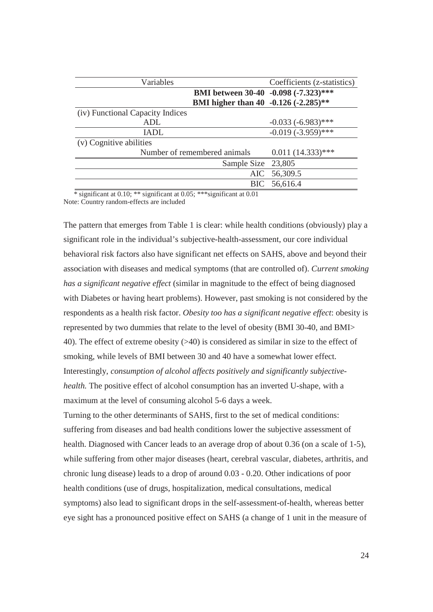| Variables                        |                                      | Coefficients (z-statistics) |
|----------------------------------|--------------------------------------|-----------------------------|
|                                  | BMI between 30-40 -0.098 (-7.323)*** |                             |
|                                  | BMI higher than 40 -0.126 (-2.285)** |                             |
| (iv) Functional Capacity Indices |                                      |                             |
| <b>ADL</b>                       |                                      | $-0.033(-6.983)$ ***        |
| <b>IADL</b>                      |                                      | $-0.019(-3.959)$ ***        |
| (v) Cognitive abilities          |                                      |                             |
|                                  | Number of remembered animals         | $0.011(14.333)****$         |
|                                  | Sample Size 23,805                   |                             |
|                                  | AIC                                  | 56,309.5                    |
|                                  | BIC                                  | 56,616.4                    |

 \* significant at 0.10; \*\* significant at 0.05; \*\*\*significant at 0.01 Note: Country random-effects are included

The pattern that emerges from Table 1 is clear: while health conditions (obviously) play a significant role in the individual's subjective-health-assessment, our core individual behavioral risk factors also have significant net effects on SAHS, above and beyond their association with diseases and medical symptoms (that are controlled of). *Current smoking has a significant negative effect* (similar in magnitude to the effect of being diagnosed with Diabetes or having heart problems). However, past smoking is not considered by the respondents as a health risk factor. *Obesity too has a significant negative effect*: obesity is represented by two dummies that relate to the level of obesity (BMI 30-40, and BMI> 40). The effect of extreme obesity (>40) is considered as similar in size to the effect of smoking, while levels of BMI between 30 and 40 have a somewhat lower effect. Interestingly, *consumption of alcohol affects positively and significantly subjectivehealth.* The positive effect of alcohol consumption has an inverted U-shape, with a maximum at the level of consuming alcohol 5-6 days a week. Turning to the other determinants of SAHS, first to the set of medical conditions:

suffering from diseases and bad health conditions lower the subjective assessment of health. Diagnosed with Cancer leads to an average drop of about 0.36 (on a scale of 1-5), while suffering from other major diseases (heart, cerebral vascular, diabetes, arthritis, and chronic lung disease) leads to a drop of around 0.03 - 0.20. Other indications of poor health conditions (use of drugs, hospitalization, medical consultations, medical symptoms) also lead to significant drops in the self-assessment-of-health, whereas better eye sight has a pronounced positive effect on SAHS (a change of 1 unit in the measure of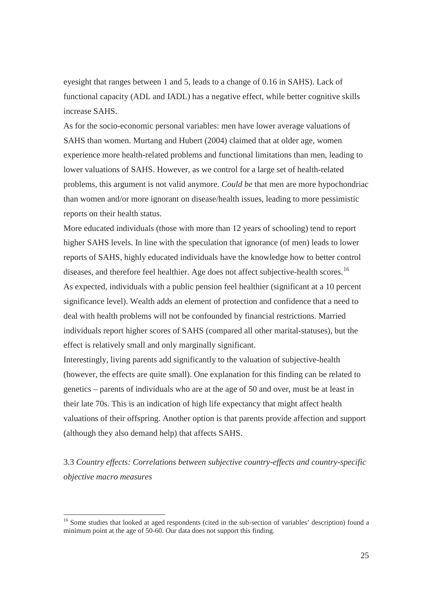eyesight that ranges between 1 and 5, leads to a change of 0.16 in SAHS). Lack of functional capacity (ADL and IADL) has a negative effect, while better cognitive skills increase SAHS.

As for the socio-economic personal variables: men have lower average valuations of SAHS than women. Murtang and Hubert (2004) claimed that at older age, women experience more health-related problems and functional limitations than men, leading to lower valuations of SAHS. However, as we control for a large set of health-related problems, this argument is not valid anymore. *Could be* that men are more hypochondriac than women and/or more ignorant on disease/health issues, leading to more pessimistic reports on their health status.

More educated individuals (those with more than 12 years of schooling) tend to report higher SAHS levels. In line with the speculation that ignorance (of men) leads to lower reports of SAHS, highly educated individuals have the knowledge how to better control diseases, and therefore feel healthier. Age does not affect subjective-health scores.<sup>16</sup> As expected, individuals with a public pension feel healthier (significant at a 10 percent significance level). Wealth adds an element of protection and confidence that a need to deal with health problems will not be confounded by financial restrictions. Married individuals report higher scores of SAHS (compared all other marital-statuses), but the effect is relatively small and only marginally significant.

Interestingly, living parents add significantly to the valuation of subjective-health (however, the effects are quite small). One explanation for this finding can be related to genetics – parents of individuals who are at the age of 50 and over, must be at least in their late 70s. This is an indication of high life expectancy that might affect health valuations of their offspring. Another option is that parents provide affection and support (although they also demand help) that affects SAHS.

3.3 *Country effects: Correlations between subjective country-effects and country-specific objective macro measures*

-

<sup>&</sup>lt;sup>16</sup> Some studies that looked at aged respondents (cited in the sub-section of variables' description) found a minimum point at the age of 50-60. Our data does not support this finding.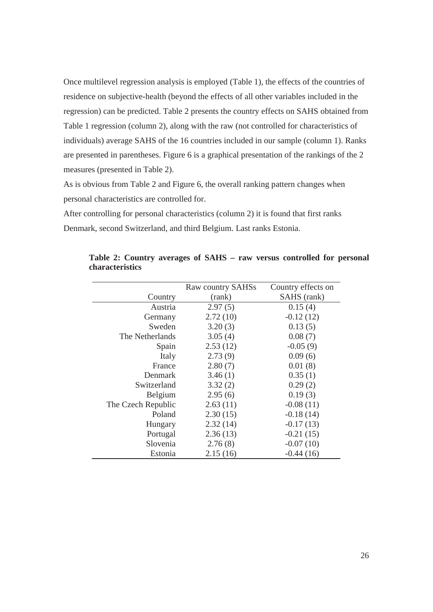Once multilevel regression analysis is employed (Table 1), the effects of the countries of residence on subjective-health (beyond the effects of all other variables included in the regression) can be predicted. Table 2 presents the country effects on SAHS obtained from Table 1 regression (column 2), along with the raw (not controlled for characteristics of individuals) average SAHS of the 16 countries included in our sample (column 1). Ranks are presented in parentheses. Figure 6 is a graphical presentation of the rankings of the 2 measures (presented in Table 2).

As is obvious from Table 2 and Figure 6, the overall ranking pattern changes when personal characteristics are controlled for.

After controlling for personal characteristics (column 2) it is found that first ranks Denmark, second Switzerland, and third Belgium. Last ranks Estonia.

|                    | Raw country SAHSs | Country effects on |
|--------------------|-------------------|--------------------|
| Country            | (rank)            | SAHS (rank)        |
| Austria            | 2.97(5)           | 0.15(4)            |
| Germany            | 2.72(10)          | $-0.12(12)$        |
| Sweden             | 3.20(3)           | 0.13(5)            |
| The Netherlands    | 3.05(4)           | 0.08(7)            |
| Spain              | 2.53(12)          | $-0.05(9)$         |
| Italy              | 2.73(9)           | 0.09(6)            |
| France             | 2.80(7)           | 0.01(8)            |
| <b>Denmark</b>     | 3.46(1)           | 0.35(1)            |
| Switzerland        | 3.32(2)           | 0.29(2)            |
| Belgium            | 2.95(6)           | 0.19(3)            |
| The Czech Republic | 2.63(11)          | $-0.08(11)$        |
| Poland             | 2.30(15)          | $-0.18(14)$        |
| Hungary            | 2.32(14)          | $-0.17(13)$        |
| Portugal           | 2.36(13)          | $-0.21(15)$        |
| Slovenia           | 2.76(8)           | $-0.07(10)$        |
| Estonia            | 2.15(16)          | $-0.44(16)$        |

**Table 2: Country averages of SAHS – raw versus controlled for personal characteristics**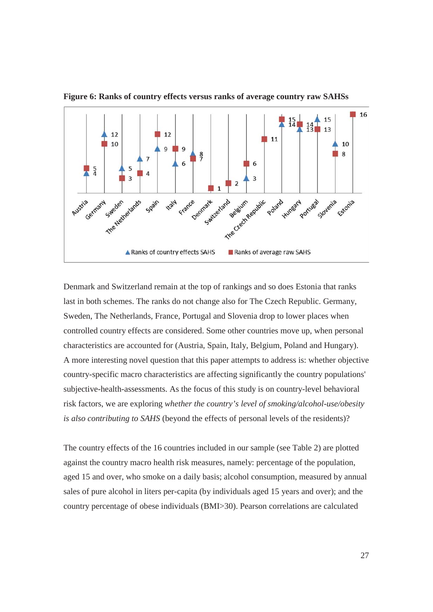

**Figure 6: Ranks of country effects versus ranks of average country raw SAHSs** 

Denmark and Switzerland remain at the top of rankings and so does Estonia that ranks last in both schemes. The ranks do not change also for The Czech Republic. Germany, Sweden, The Netherlands, France, Portugal and Slovenia drop to lower places when controlled country effects are considered. Some other countries move up, when personal characteristics are accounted for (Austria, Spain, Italy, Belgium, Poland and Hungary). A more interesting novel question that this paper attempts to address is: whether objective country-specific macro characteristics are affecting significantly the country populations' subjective-health-assessments. As the focus of this study is on country-level behavioral risk factors, we are exploring *whether the country's level of smoking/alcohol-use/obesity is also contributing to SAHS* (beyond the effects of personal levels of the residents)?

The country effects of the 16 countries included in our sample (see Table 2) are plotted against the country macro health risk measures, namely: percentage of the population, aged 15 and over, who smoke on a daily basis; alcohol consumption, measured by annual sales of pure alcohol in liters per-capita (by individuals aged 15 years and over); and the country percentage of obese individuals (BMI>30). Pearson correlations are calculated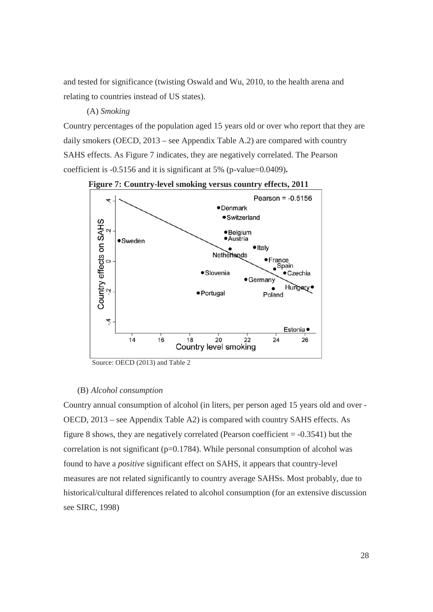and tested for significance (twisting Oswald and Wu, 2010, to the health arena and relating to countries instead of US states).

#### (A) *Smoking*

Country percentages of the population aged 15 years old or over who report that they are daily smokers (OECD, 2013 – see Appendix Table A.2) are compared with country SAHS effects. As Figure 7 indicates, they are negatively correlated. The Pearson coefficient is -0.5156 and it is significant at 5% (p-value=0.0409)**.** 



**Figure 7: Country-level smoking versus country effects, 2011** 

Source: OECD (2013) and Table 2

#### (B) *Alcohol consumption*

Country annual consumption of alcohol (in liters, per person aged 15 years old and over - OECD, 2013 – see Appendix Table A2) is compared with country SAHS effects. As figure 8 shows, they are negatively correlated (Pearson coefficient  $= -0.3541$ ) but the correlation is not significant (p=0.1784). While personal consumption of alcohol was found to have a *positive* significant effect on SAHS, it appears that country-level measures are not related significantly to country average SAHSs. Most probably, due to historical/cultural differences related to alcohol consumption (for an extensive discussion see SIRC, 1998)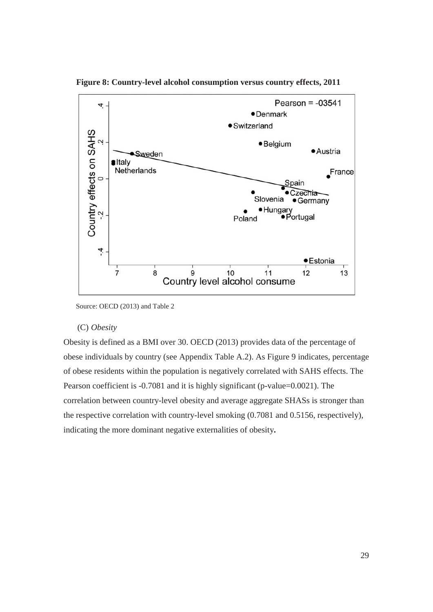

 **Figure 8: Country-level alcohol consumption versus country effects, 2011** 

#### (C) *Obesity*

Obesity is defined as a BMI over 30. OECD (2013) provides data of the percentage of obese individuals by country (see Appendix Table A.2). As Figure 9 indicates, percentage of obese residents within the population is negatively correlated with SAHS effects. The Pearson coefficient is -0.7081 and it is highly significant (p-value=0.0021). The correlation between country-level obesity and average aggregate SHASs is stronger than the respective correlation with country-level smoking (0.7081 and 0.5156, respectively), indicating the more dominant negative externalities of obesity**.** 

Source: OECD (2013) and Table 2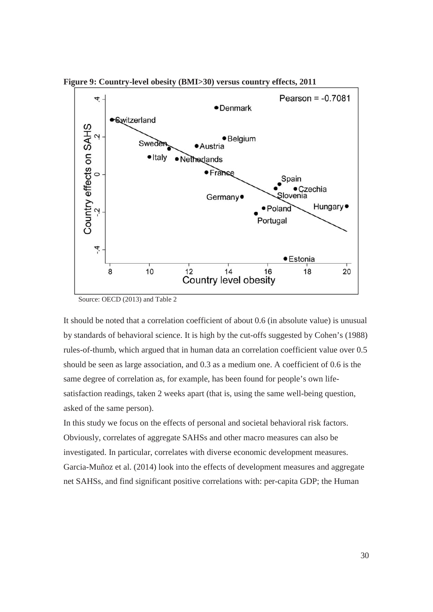**Figure 9: Country-level obesity (BMI>30) versus country effects, 2011** 



Source: OECD (2013) and Table 2

It should be noted that a correlation coefficient of about 0.6 (in absolute value) is unusual by standards of behavioral science. It is high by the cut-offs suggested by Cohen's (1988) rules-of-thumb, which argued that in human data an correlation coefficient value over 0.5 should be seen as large association, and 0.3 as a medium one. A coefficient of 0.6 is the same degree of correlation as, for example, has been found for people's own lifesatisfaction readings, taken 2 weeks apart (that is, using the same well-being question, asked of the same person).

In this study we focus on the effects of personal and societal behavioral risk factors. Obviously, correlates of aggregate SAHSs and other macro measures can also be investigated. In particular, correlates with diverse economic development measures. Garcia-Muñoz et al. (2014) look into the effects of development measures and aggregate net SAHSs, and find significant positive correlations with: per-capita GDP; the Human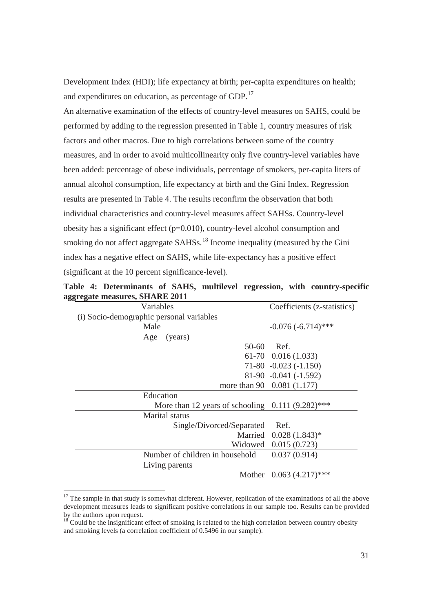Development Index (HDI); life expectancy at birth; per-capita expenditures on health; and expenditures on education, as percentage of GDP.<sup>17</sup>

An alternative examination of the effects of country-level measures on SAHS, could be performed by adding to the regression presented in Table 1, country measures of risk factors and other macros. Due to high correlations between some of the country measures, and in order to avoid multicollinearity only five country-level variables have been added: percentage of obese individuals, percentage of smokers, per-capita liters of annual alcohol consumption, life expectancy at birth and the Gini Index. Regression results are presented in Table 4. The results reconfirm the observation that both individual characteristics and country-level measures affect SAHSs. Country-level obesity has a significant effect  $(p=0.010)$ , country-level alcohol consumption and smoking do not affect aggregate  $SAHSS$ <sup>18</sup> Income inequality (measured by the Gini index has a negative effect on SAHS, while life-expectancy has a positive effect (significant at the 10 percent significance-level).

| <u>ді сдане пісами сэ, эпіліме 2011</u>             |                             |  |
|-----------------------------------------------------|-----------------------------|--|
| Variables                                           | Coefficients (z-statistics) |  |
| (i) Socio-demographic personal variables            |                             |  |
| Male                                                | $-0.076(-6.714)$ ***        |  |
| (years)<br>Age                                      |                             |  |
| $50-60$                                             | Ref.                        |  |
|                                                     | $61-70$ 0.016 (1.033)       |  |
|                                                     | $71-80 -0.023(-1.150)$      |  |
|                                                     | $81-90 -0.041 (-1.592)$     |  |
|                                                     | more than 90 0.081 (1.177)  |  |
| Education                                           |                             |  |
| More than 12 years of schooling $0.111 (9.282)$ *** |                             |  |
| <b>Marital</b> status                               |                             |  |
| Single/Divorced/Separated                           | Ref.                        |  |
|                                                     | Married 0.028 (1.843)*      |  |
| Widowed                                             | 0.015(0.723)                |  |
| Number of children in household                     | 0.037(0.914)                |  |
| Living parents                                      |                             |  |
|                                                     | Mother $0.063(4.217)$ ***   |  |

**Table 4: Determinants of SAHS, multilevel regression, with country-specific aggregate measures, SHARE 2011** 

-

<sup>&</sup>lt;sup>17</sup> The sample in that study is somewhat different. However, replication of the examinations of all the above development measures leads to significant positive correlations in our sample too. Results can be provided by the authors upon request.

 $18$  Could be the insignificant effect of smoking is related to the high correlation between country obesity and smoking levels (a correlation coefficient of 0.5496 in our sample).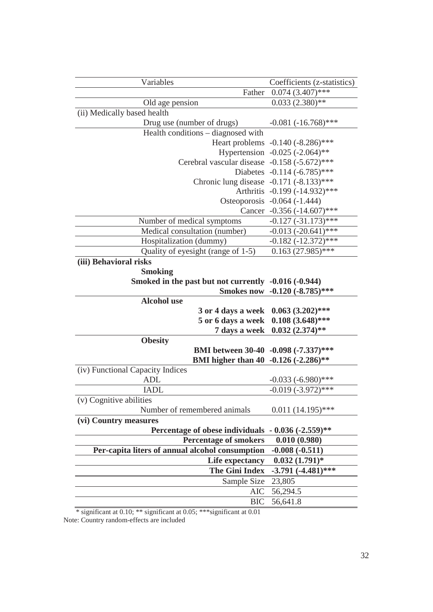| Variables                                              | Coefficients (z-statistics)         |  |  |
|--------------------------------------------------------|-------------------------------------|--|--|
| Father                                                 | $0.074(3.407)$ ***                  |  |  |
| Old age pension                                        | $0.033(2.380)$ **                   |  |  |
| (ii) Medically based health                            |                                     |  |  |
| Drug use (number of drugs)                             | $-0.081 (-16.768)$ ***              |  |  |
| Health conditions - diagnosed with                     |                                     |  |  |
|                                                        | Heart problems -0.140 (-8.286)***   |  |  |
|                                                        | Hypertension $-0.025$ $(-2.064)$ ** |  |  |
| Cerebral vascular disease -0.158 (-5.672)***           |                                     |  |  |
|                                                        | Diabetes $-0.114$ $(-6.785)$ ***    |  |  |
| Chronic lung disease $-0.171$ $(-8.133)$ ***           |                                     |  |  |
|                                                        | Arthritis -0.199 (-14.932)***       |  |  |
|                                                        | Osteoporosis -0.064 (-1.444)        |  |  |
|                                                        | Cancer $-0.356$ $(-14.607)$ ***     |  |  |
| Number of medical symptoms                             | $-0.127$ $(-31.173)$ ***            |  |  |
| Medical consultation (number)                          | $-0.013$ $(-20.641)$ ***            |  |  |
| Hospitalization (dummy)                                | $-0.182 (-12.372)$ ***              |  |  |
| Quality of eyesight (range of 1-5)                     | $0.163(27.985)$ ***                 |  |  |
| (iii) Behavioral risks                                 |                                     |  |  |
| <b>Smoking</b>                                         |                                     |  |  |
| Smoked in the past but not currently -0.016 (-0.944)   |                                     |  |  |
|                                                        | Smokes now -0.120 (-8.785)***       |  |  |
| <b>Alcohol</b> use                                     |                                     |  |  |
| 3 or 4 days a week                                     | $0.063(3.202)$ ***                  |  |  |
| 5 or 6 days a week                                     | $0.108(3.648)$ ***                  |  |  |
| 7 days a week                                          | $0.032(2.374)$ **                   |  |  |
| <b>Obesity</b>                                         |                                     |  |  |
| BMI between 30-40 -0.098 (-7.337)***                   |                                     |  |  |
| BMI higher than 40 -0.126 (-2.286)**                   |                                     |  |  |
| (iv) Functional Capacity Indices                       |                                     |  |  |
| <b>ADL</b>                                             | $-0.033 (-6.980)$ ***               |  |  |
| <b>IADL</b>                                            | $-0.019(-3.972)$ ***                |  |  |
| (v) Cognitive abilities                                |                                     |  |  |
| Number of remembered animals                           | $0.011(14.195)$ ***                 |  |  |
| (vi) Country measures                                  |                                     |  |  |
| Percentage of obese individuals<br>$-0.036(-2.559)$ ** |                                     |  |  |
| <b>Percentage of smokers</b>                           | 0.010(0.980)                        |  |  |
| Per-capita liters of annual alcohol consumption        | $-0.008(-0.511)$                    |  |  |
| Life expectancy                                        | $0.032(1.791)*$                     |  |  |
| <b>The Gini Index</b>                                  | $-3.791(-4.481)$ ***                |  |  |
| Sample Size                                            | 23,805                              |  |  |
| AIC                                                    | 56,294.5                            |  |  |
| <b>BIC</b>                                             | 56,641.8                            |  |  |

\* significant at 0.10; \*\* significant at 0.05; \*\*\*significant at 0.01

Note: Country random-effects are included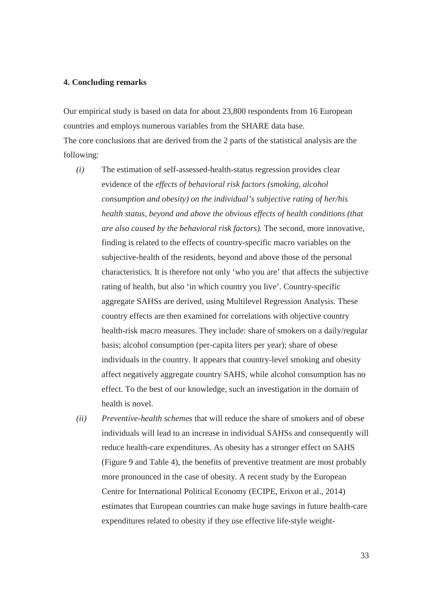#### **4. Concluding remarks**

Our empirical study is based on data for about 23,800 respondents from 16 European countries and employs numerous variables from the SHARE data base. The core conclusions that are derived from the 2 parts of the statistical analysis are the following:

- *(i)* The estimation of self-assessed-health-status regression provides clear evidence of the *effects of behavioral risk factors (smoking, alcohol consumption and obesity) on the individual's subjective rating of her/his health status, beyond and above the obvious effects of health conditions (that are also caused by the behavioral risk factors).* The second, more innovative, finding is related to the effects of country-specific macro variables on the subjective-health of the residents, beyond and above those of the personal characteristics. It is therefore not only 'who you are' that affects the subjective rating of health, but also 'in which country you live'. Country-specific aggregate SAHSs are derived, using Multilevel Regression Analysis. These country effects are then examined for correlations with objective country health-risk macro measures. They include: share of smokers on a daily/regular basis; alcohol consumption (per-capita liters per year); share of obese individuals in the country. It appears that country-level smoking and obesity affect negatively aggregate country SAHS, while alcohol consumption has no effect. To the best of our knowledge, such an investigation in the domain of health is novel.
- *(ii) Preventive-health schemes* that will reduce the share of smokers and of obese individuals will lead to an increase in individual SAHSs and consequently will reduce health-care expenditures. As obesity has a stronger effect on SAHS (Figure 9 and Table 4), the benefits of preventive treatment are most probably more pronounced in the case of obesity. A recent study by the European Centre for International Political Economy (ECIPE, Erixon et al., 2014) estimates that European countries can make huge savings in future health-care expenditures related to obesity if they use effective life-style weight-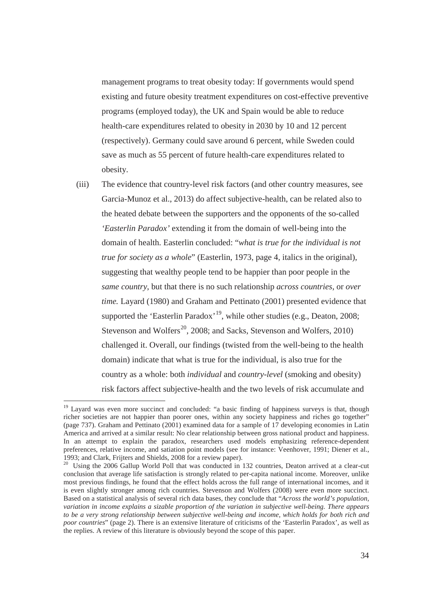management programs to treat obesity today: If governments would spend existing and future obesity treatment expenditures on cost-effective preventive programs (employed today), the UK and Spain would be able to reduce health-care expenditures related to obesity in 2030 by 10 and 12 percent (respectively). Germany could save around 6 percent, while Sweden could save as much as 55 percent of future health-care expenditures related to obesity.

(iii) The evidence that country-level risk factors (and other country measures, see Garcia-Munoz et al., 2013) do affect subjective-health, can be related also to the heated debate between the supporters and the opponents of the so-called *'Easterlin Paradox'* extending it from the domain of well-being into the domain of health. Easterlin concluded: "*what is true for the individual is not true for society as a whole*" (Easterlin, 1973, page 4, italics in the original), suggesting that wealthy people tend to be happier than poor people in the *same country*, but that there is no such relationship *across countries*, or *over time.* Layard (1980) and Graham and Pettinato (2001) presented evidence that supported the 'Easterlin Paradox'<sup>19</sup>, while other studies (e.g., Deaton, 2008; Stevenson and Wolfers<sup>20</sup>, 2008; and Sacks, Stevenson and Wolfers, 2010) challenged it. Overall, our findings (twisted from the well-being to the health domain) indicate that what is true for the individual, is also true for the country as a whole: both *individual* and *country-level* (smoking and obesity) risk factors affect subjective-health and the two levels of risk accumulate and

-

<sup>&</sup>lt;sup>19</sup> Layard was even more succinct and concluded: "a basic finding of happiness surveys is that, though richer societies are not happier than poorer ones, within any society happiness and riches go together" (page 737). Graham and Pettinato (2001) examined data for a sample of 17 developing economies in Latin America and arrived at a similar result: No clear relationship between gross national product and happiness. In an attempt to explain the paradox, researchers used models emphasizing reference-dependent preferences, relative income, and satiation point models (see for instance: Veenhover, 1991; Diener et al., 1993; and Clark, Frijters and Shields, 2008 for a review paper).

<sup>&</sup>lt;sup>20</sup> Using the 2006 Gallup World Poll that was conducted in 132 countries, Deaton arrived at a clear-cut conclusion that average life satisfaction is strongly related to per-capita national income. Moreover, unlike most previous findings, he found that the effect holds across the full range of international incomes, and it is even slightly stronger among rich countries. Stevenson and Wolfers (2008) were even more succinct. Based on a statistical analysis of several rich data bases, they conclude that "*Across the world's population, variation in income explains a sizable proportion of the variation in subjective well-being. There appears to be a very strong relationship between subjective well-being and income, which holds for both rich and poor countries*" (page 2). There is an extensive literature of criticisms of the 'Easterlin Paradox', as well as the replies. A review of this literature is obviously beyond the scope of this paper.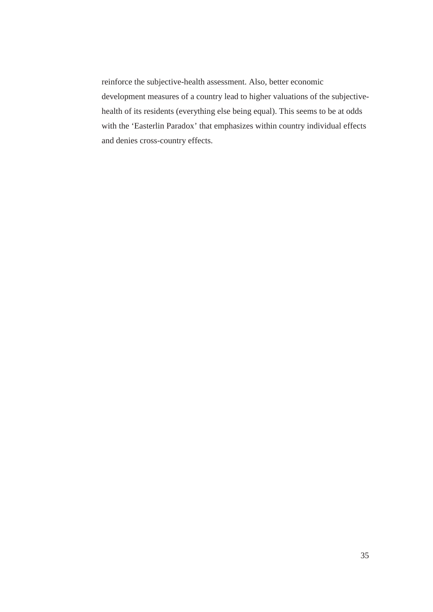reinforce the subjective-health assessment. Also, better economic development measures of a country lead to higher valuations of the subjectivehealth of its residents (everything else being equal). This seems to be at odds with the 'Easterlin Paradox' that emphasizes within country individual effects and denies cross-country effects.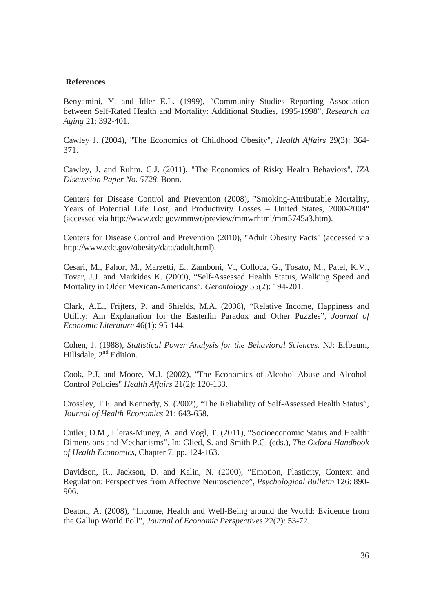#### **References**

Benyamini, Y. and Idler E.L. (1999), "Community Studies Reporting Association between Self-Rated Health and Mortality: Additional Studies, 1995-1998", *Research on Aging* 21: 392-401.

Cawley J. (2004), "The Economics of Childhood Obesity", *Health Affairs* 29(3): 364- 371.

Cawley, J. and Ruhm, C.J. (2011), "The Economics of Risky Health Behaviors", *IZA Discussion Paper No. 5728*. Bonn.

Centers for Disease Control and Prevention (2008), "Smoking-Attributable Mortality, Years of Potential Life Lost, and Productivity Losses – United States, 2000-2004" (accessed via http://www.cdc.gov/mmwr/preview/mmwrhtml/mm5745a3.htm).

Centers for Disease Control and Prevention (2010), "Adult Obesity Facts" (accessed via http://www.cdc.gov/obesity/data/adult.html).

Cesari, M., Pahor, M., Marzetti, E., Zamboni, V., Colloca, G., Tosato, M., Patel, K.V., Tovar, J.J. and Markides K. (2009), "Self-Assessed Health Status, Walking Speed and Mortality in Older Mexican-Americans", *Gerontology* 55(2): 194-201.

Clark, A.E., Frijters, P. and Shields, M.A. (2008), "Relative Income, Happiness and Utility: Am Explanation for the Easterlin Paradox and Other Puzzles", *Journal of Economic Literature* 46(1): 95-144.

Cohen, J. (1988), *Statistical Power Analysis for the Behavioral Sciences.* NJ: Erlbaum, Hillsdale, 2<sup>nd</sup> Edition.

Cook, P.J. and Moore, M.J. (2002), "The Economics of Alcohol Abuse and Alcohol-Control Policies" *Health Affairs* 21(2): 120-133.

Crossley, T.F. and Kennedy, S. (2002), "The Reliability of Self-Assessed Health Status", *Journal of Health Economics* 21: 643-658.

Cutler, D.M., Lleras-Muney, A. and Vogl, T. (2011), "Socioeconomic Status and Health: Dimensions and Mechanisms". In: Glied, S. and Smith P.C. (eds.), *The Oxford Handbook of Health Economics*, Chapter 7, pp. 124-163.

Davidson, R., Jackson, D. and Kalin, N. (2000), "Emotion, Plasticity, Context and Regulation: Perspectives from Affective Neuroscience", *Psychological Bulletin* 126: 890- 906.

Deaton, A. (2008), "Income, Health and Well-Being around the World: Evidence from the Gallup World Poll", *Journal of Economic Perspectives* 22(2): 53-72.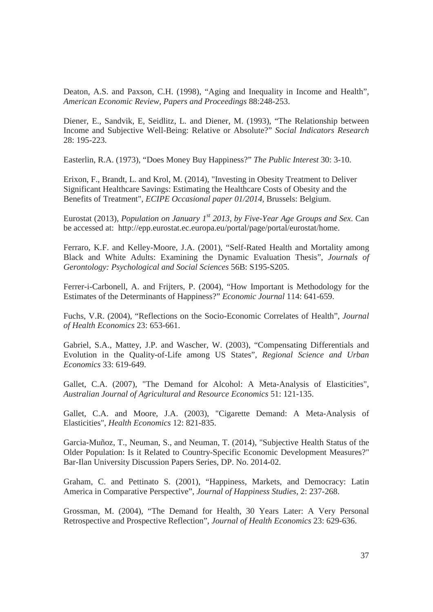Deaton, A.S. and Paxson, C.H. (1998), "Aging and Inequality in Income and Health", *American Economic Review, Papers and Proceedings* 88:248-253.

Diener, E., Sandvik, E, Seidlitz, L. and Diener, M. (1993), "The Relationship between Income and Subjective Well-Being: Relative or Absolute?" *Social Indicators Research* 28: 195-223.

Easterlin, R.A. (1973), "Does Money Buy Happiness?" *The Public Interest* 30: 3-10.

Erixon, F., Brandt, L. and Krol, M. (2014), "Investing in Obesity Treatment to Deliver Significant Healthcare Savings: Estimating the Healthcare Costs of Obesity and the Benefits of Treatment", *ECIPE Occasional paper 01/2014*, Brussels: Belgium.

Eurostat (2013), *Population on January 1st 2013, by Five-Year Age Groups and Sex*. Can be accessed at: http://epp.eurostat.ec.europa.eu/portal/page/portal/eurostat/home.

Ferraro, K.F. and Kelley-Moore, J.A. (2001), "Self-Rated Health and Mortality among Black and White Adults: Examining the Dynamic Evaluation Thesis", *Journals of Gerontology: Psychological and Social Sciences* 56B: S195-S205.

Ferrer-i-Carbonell, A. and Frijters, P. (2004), "How Important is Methodology for the Estimates of the Determinants of Happiness?" *Economic Journal* 114: 641-659.

Fuchs, V.R. (2004), "Reflections on the Socio-Economic Correlates of Health", *Journal of Health Economics* 23: 653-661.

Gabriel, S.A., Mattey, J.P. and Wascher, W. (2003), "Compensating Differentials and Evolution in the Quality-of-Life among US States", *Regional Science and Urban Economics* 33: 619-649.

Gallet, C.A. (2007), "The Demand for Alcohol: A Meta-Analysis of Elasticities", *Australian Journal of Agricultural and Resource Economics* 51: 121-135.

Gallet, C.A. and Moore, J.A. (2003), "Cigarette Demand: A Meta-Analysis of Elasticities", *Health Economics* 12: 821-835.

Garcia-Muñoz, T., Neuman, S., and Neuman, T. (2014), "Subjective Health Status of the Older Population: Is it Related to Country-Specific Economic Development Measures?" Bar-Ilan University Discussion Papers Series, DP. No. 2014-02.

Graham, C. and Pettinato S. (2001), "Happiness, Markets, and Democracy: Latin America in Comparative Perspective", *Journal of Happiness Studies*, 2: 237-268.

Grossman, M. (2004), "The Demand for Health, 30 Years Later: A Very Personal Retrospective and Prospective Reflection", *Journal of Health Economics* 23: 629-636.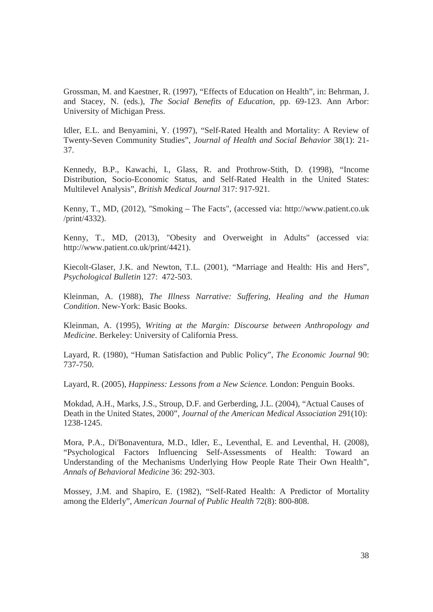Grossman, M. and Kaestner, R. (1997), "Effects of Education on Health", in: Behrman, J. and Stacey, N. (eds.), *The Social Benefits of Education*, pp. 69-123. Ann Arbor: University of Michigan Press.

Idler, E.L. and Benyamini, Y. (1997), "Self-Rated Health and Mortality: A Review of Twenty-Seven Community Studies", *Journal of Health and Social Behavior* 38(1): 21- 37.

Kennedy, B.P., Kawachi, I., Glass, R. and Prothrow-Stith, D. (1998), "Income Distribution, Socio-Economic Status, and Self-Rated Health in the United States: Multilevel Analysis", *British Medical Journal* 317: 917-921.

Kenny, T., MD, (2012), "Smoking – The Facts", (accessed via: http://www.patient.co.uk /print/4332).

Kenny, T., MD, (2013), "Obesity and Overweight in Adults" (accessed via: http://www.patient.co.uk/print/4421).

Kiecolt-Glaser, J.K. and Newton, T.L. (2001), "Marriage and Health: His and Hers", *Psychological Bulletin* 127:472-503.

Kleinman, A. (1988), *The Illness Narrative: Suffering, Healing and the Human Condition*. New-York: Basic Books.

Kleinman, A. (1995), *Writing at the Margin: Discourse between Anthropology and Medicine*. Berkeley: University of California Press.

Layard, R. (1980), "Human Satisfaction and Public Policy", *The Economic Journal* 90: 737-750.

Layard, R. (2005), *Happiness: Lessons from a New Science.* London: Penguin Books.

Mokdad, A.H., Marks, J.S., Stroup, D.F. and Gerberding, J.L. (2004), "Actual Causes of Death in the United States, 2000", *Journal of the American Medical Association* 291(10): 1238-1245.

Mora, P.A., Di'Bonaventura, M.D., Idler, E., Leventhal, E. and Leventhal, H. (2008), "Psychological Factors Influencing Self-Assessments of Health: Toward an Understanding of the Mechanisms Underlying How People Rate Their Own Health", *Annals of Behavioral Medicine* 36: 292-303.

Mossey, J.M. and Shapiro, E. (1982), "Self-Rated Health: A Predictor of Mortality among the Elderly", *American Journal of Public Health* 72(8): 800-808.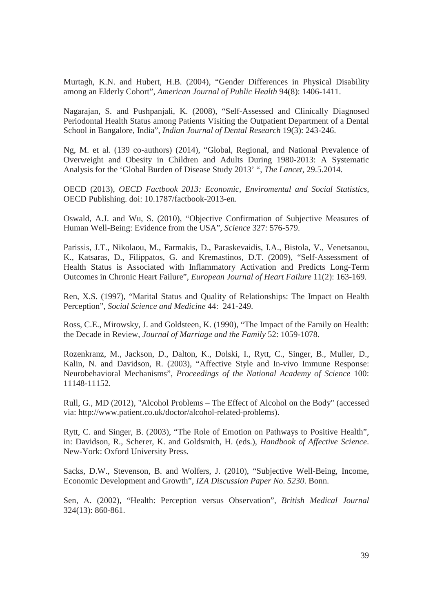Murtagh, K.N. and Hubert, H.B. (2004), "Gender Differences in Physical Disability among an Elderly Cohort", *American Journal of Public Health* 94(8): 1406-1411.

Nagarajan, S. and Pushpanjali, K. (2008), "Self-Assessed and Clinically Diagnosed Periodontal Health Status among Patients Visiting the Outpatient Department of a Dental School in Bangalore, India", *Indian Journal of Dental Research* 19(3): 243-246.

Ng, M. et al. (139 co-authors) (2014), "Global, Regional, and National Prevalence of Overweight and Obesity in Children and Adults During 1980-2013: A Systematic Analysis for the 'Global Burden of Disease Study 2013' ", *The Lancet,* 29.5.2014.

OECD (2013), *OECD Factbook 2013: Economic, Enviromental and Social Statistics,*  OECD Publishing. doi: 10.1787/factbook-2013-en*.* 

Oswald, A.J. and Wu, S. (2010), "Objective Confirmation of Subjective Measures of Human Well-Being: Evidence from the USA", *Science* 327: 576-579.

Parissis, J.T., Nikolaou, M., Farmakis, D., Paraskevaidis, I.A., Bistola, V., Venetsanou, K., Katsaras, D., Filippatos, G. and Kremastinos, D.T. (2009), "Self-Assessment of Health Status is Associated with Inflammatory Activation and Predicts Long-Term Outcomes in Chronic Heart Failure", *European Journal of Heart Failure* 11(2): 163-169.

Ren, X.S. (1997), "Marital Status and Quality of Relationships: The Impact on Health Perception", *Social Science and Medicine* 44:241-249.

Ross, C.E., Mirowsky, J. and Goldsteen, K. (1990), "The Impact of the Family on Health: the Decade in Review, *Journal of Marriage and the Family* 52: 1059-1078.

Rozenkranz, M., Jackson, D., Dalton, K., Dolski, I., Rytt, C., Singer, B., Muller, D., Kalin, N. and Davidson, R. (2003), "Affective Style and In-vivo Immune Response: Neurobehavioral Mechanisms", *Proceedings of the National Academy of Science* 100: 11148-11152.

Rull, G., MD (2012), "Alcohol Problems – The Effect of Alcohol on the Body" (accessed via: http://www.patient.co.uk/doctor/alcohol-related-problems).

Rytt, C. and Singer, B. (2003), "The Role of Emotion on Pathways to Positive Health", in: Davidson, R., Scherer, K. and Goldsmith, H. (eds.), *Handbook of Affective Science*. New-York: Oxford University Press.

Sacks, D.W., Stevenson, B. and Wolfers, J. (2010), "Subjective Well-Being, Income, Economic Development and Growth", *IZA Discussion Paper No. 5230*. Bonn.

Sen, A. (2002), "Health: Perception versus Observation", *British Medical Journal* 324(13): 860-861.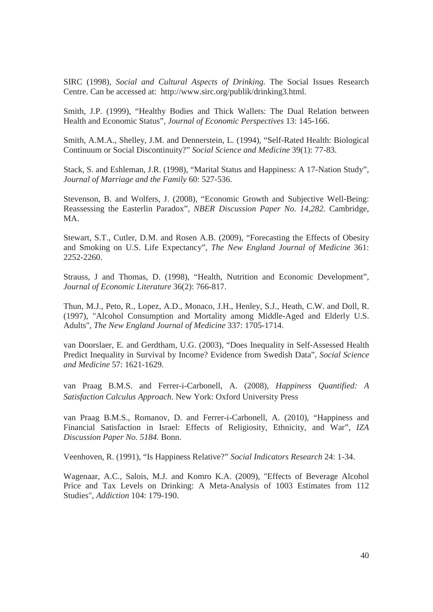SIRC (1998), *Social and Cultural Aspects of Drinking.* The Social Issues Research Centre. Can be accessed at: http://www.sirc.org/publik/drinking3.html.

Smith, J.P. (1999), "Healthy Bodies and Thick Wallets: The Dual Relation between Health and Economic Status", *Journal of Economic Perspectives* 13: 145-166.

Smith, A.M.A., Shelley, J.M. and Dennerstein, L. (1994), "Self-Rated Health: Biological Continuum or Social Discontinuity?" *Social Science and Medicine* 39(1): 77-83.

Stack, S. and Eshleman, J.R. (1998), "Marital Status and Happiness: A 17-Nation Study", *Journal of Marriage and the Family* 60: 527-536.

Stevenson, B. and Wolfers, J. (2008), "Economic Growth and Subjective Well-Being: Reassessing the Easterlin Paradox", *NBER Discussion Paper No. 14,282.* Cambridge, MA.

Stewart, S.T., Cutler, D.M. and Rosen A.B. (2009), "Forecasting the Effects of Obesity and Smoking on U.S. Life Expectancy", *The New England Journal of Medicine* 361: 2252-2260.

Strauss, J and Thomas, D. (1998), "Health, Nutrition and Economic Development", *Journal of Economic Literature* 36(2): 766-817.

Thun, M.J., Peto, R., Lopez, A.D., Monaco, J.H., Henley, S.J., Heath, C.W. and Doll, R. (1997), "Alcohol Consumption and Mortality among Middle-Aged and Elderly U.S. Adults", *The New England Journal of Medicine* 337: 1705-1714.

van Doorslaer, E. and Gerdtham, U.G. (2003), "Does Inequality in Self-Assessed Health Predict Inequality in Survival by Income? Evidence from Swedish Data", *Social Science and Medicine* 57: 1621-1629.

van Praag B.M.S. and Ferrer-i-Carbonell, A. (2008), *Happiness Quantified: A Satisfaction Calculus Approach*. New York: Oxford University Press

van Praag B.M.S., Romanov, D. and Ferrer-i-Carbonell, A. (2010), "Happiness and Financial Satisfaction in Israel: Effects of Religiosity, Ethnicity, and War", *IZA Discussion Paper No. 5184.* Bonn.

Veenhoven, R. (1991), "Is Happiness Relative?" *Social Indicators Research* 24: 1-34.

Wagenaar, A.C., Salois, M.J. and Komro K.A. (2009), "Effects of Beverage Alcohol Price and Tax Levels on Drinking: A Meta-Analysis of 1003 Estimates from 112 Studies", *Addiction* 104: 179-190.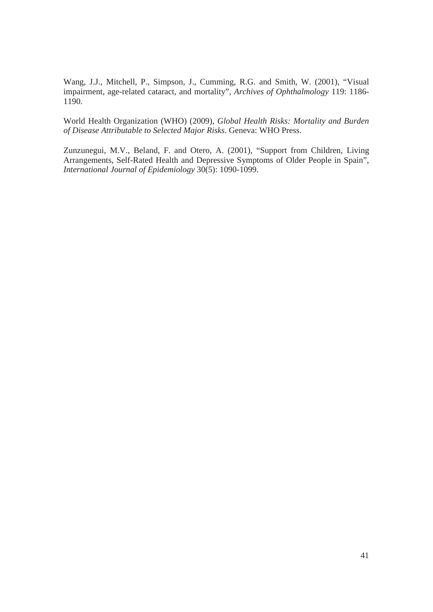Wang, J.J., Mitchell, P., Simpson, J., Cumming, R.G. and Smith, W. (2001), "Visual impairment, age-related cataract, and mortality", *Archives of Ophthalmology* 119: 1186- 1190.

World Health Organization (WHO) (2009), *Global Health Risks: Mortality and Burden of Disease Attributable to Selected Major Risks*. Geneva: WHO Press.

Zunzunegui, M.V., Beland, F. and Otero, A. (2001), "Support from Children, Living Arrangements, Self-Rated Health and Depressive Symptoms of Older People in Spain", *International Journal of Epidemiology* 30(5): 1090-1099.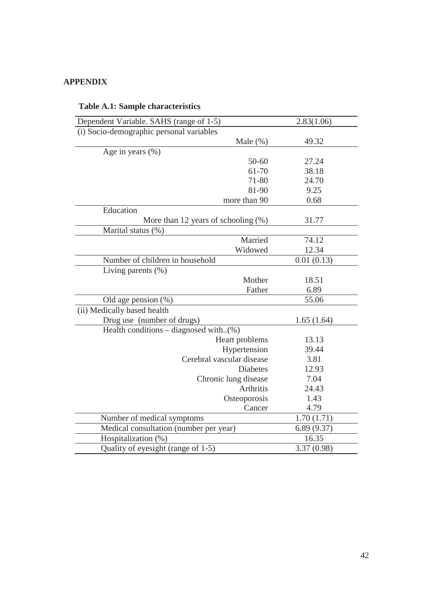## **APPENDIX**

| Dependent Variable. SAHS (range of 1-5)   | 2.83(1.06) |
|-------------------------------------------|------------|
| (i) Socio-demographic personal variables  |            |
| Male $(\%)$                               | 49.32      |
| Age in years $(\% )$                      |            |
| $50 - 60$                                 | 27.24      |
| 61-70                                     | 38.18      |
| 71-80                                     | 24.70      |
| 81-90                                     | 9.25       |
| more than 90                              | 0.68       |
| Education                                 |            |
| More than 12 years of schooling (%)       | 31.77      |
| Marital status (%)                        |            |
| Married                                   | 74.12      |
| Widowed                                   | 12.34      |
| Number of children in household           | 0.01(0.13) |
| Living parents $(\%)$                     |            |
| Mother                                    | 18.51      |
| Father                                    | 6.89       |
| Old age pension $(\%)$                    | 55.06      |
| (ii) Medically based health               |            |
| Drug use (number of drugs)                | 1.65(1.64) |
| Health conditions – diagnosed with $(\%)$ |            |
| Heart problems                            | 13.13      |
| Hypertension                              | 39.44      |
| Cerebral vascular disease                 | 3.81       |
| <b>Diabetes</b>                           | 12.93      |
| Chronic lung disease                      | 7.04       |
| Arthritis                                 | 24.43      |
| Osteoporosis                              | 1.43       |
| Cancer                                    | 4.79       |
| Number of medical symptoms                | 1.70(1.71) |
| Medical consultation (number per year)    | 6.89(9.37) |
| Hospitalization (%)                       | 16.35      |
| Quality of eyesight (range of 1-5)        | 3.37(0.98) |

## **Table A.1: Sample characteristics**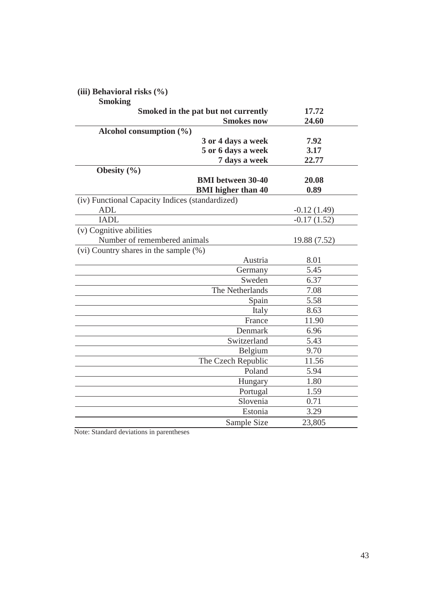## **(iii) Behavioral risks (%)**

## **Smoking**

| Smoked in the pat but not currently             | 17.72           |
|-------------------------------------------------|-----------------|
| <b>Smokes now</b>                               | 24.60           |
| Alcohol consumption $(\% )$                     |                 |
| 3 or 4 days a week                              | 7.92            |
| 5 or 6 days a week                              | 3.17            |
| 7 days a week                                   | 22.77           |
| Obesity $(\% )$                                 |                 |
| <b>BMI</b> between 30-40                        | 20.08           |
| <b>BMI</b> higher than 40                       | 0.89            |
| (iv) Functional Capacity Indices (standardized) |                 |
| <b>ADL</b>                                      | $-0.12(1.49)$   |
| <b>IADL</b>                                     | $-0.17(1.52)$   |
| (v) Cognitive abilities                         |                 |
| Number of remembered animals                    | 19.88 (7.52)    |
| (vi) Country shares in the sample $(\%)$        |                 |
| Austria                                         | 8.01            |
| Germany                                         | 5.45            |
| Sweden                                          | 6.37            |
| The Netherlands                                 | 7.08            |
|                                                 | 5.58<br>Spain   |
|                                                 | 8.63<br>Italy   |
|                                                 | France<br>11.90 |
| Denmark                                         | 6.96            |
| Switzerland                                     | 5.43            |
| Belgium                                         | 9.70            |
| The Czech Republic                              | 11.56           |
|                                                 | 5.94<br>Poland  |
| Hungary                                         | 1.80            |
| Portugal                                        | 1.59            |
| Slovenia                                        | 0.71            |
| Estonia                                         | 3.29            |
| Sample Size                                     | 23,805          |

Note: Standard deviations in parentheses